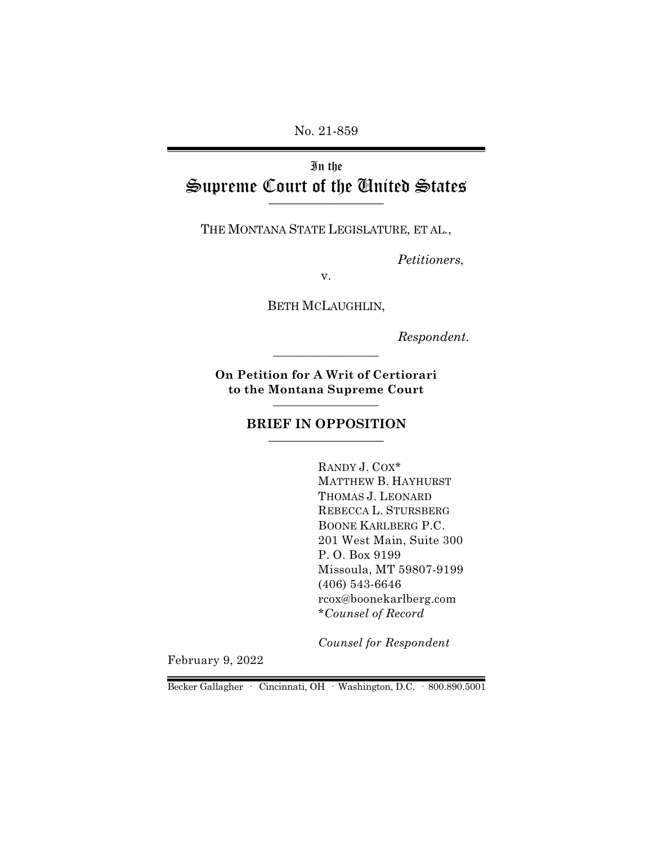No. 21-859

# In the Supreme Court of the United States  $\overline{\phantom{a}}$  , where  $\overline{\phantom{a}}$

THE MONTANA STATE LEGISLATURE, ET AL.,

*Petitioners*,

v.

BETH MCLAUGHLIN,

*Respondent.*

**On Petition for A Writ of Certiorari to the Montana Supreme Court** \_\_\_\_\_\_\_\_\_\_\_\_\_\_\_\_\_\_

\_\_\_\_\_\_\_\_\_\_\_\_\_\_\_\_\_\_

#### **BRIEF IN OPPOSITION**  $\_$

RANDY J. COX\* MATTHEW B. HAYHURST THOMAS J. LEONARD REBECCA L. STURSBERG BOONE KARLBERG P.C. 201 West Main, Suite 300 P. O. Box 9199 Missoula, MT 59807-9199 (406) 543-6646 rcox@boonekarlberg.com \**Counsel of Record*

*Counsel for Respondent*

February 9, 2022

Becker Gallagher · Cincinnati, OH · Washington, D.C. · 800.890.5001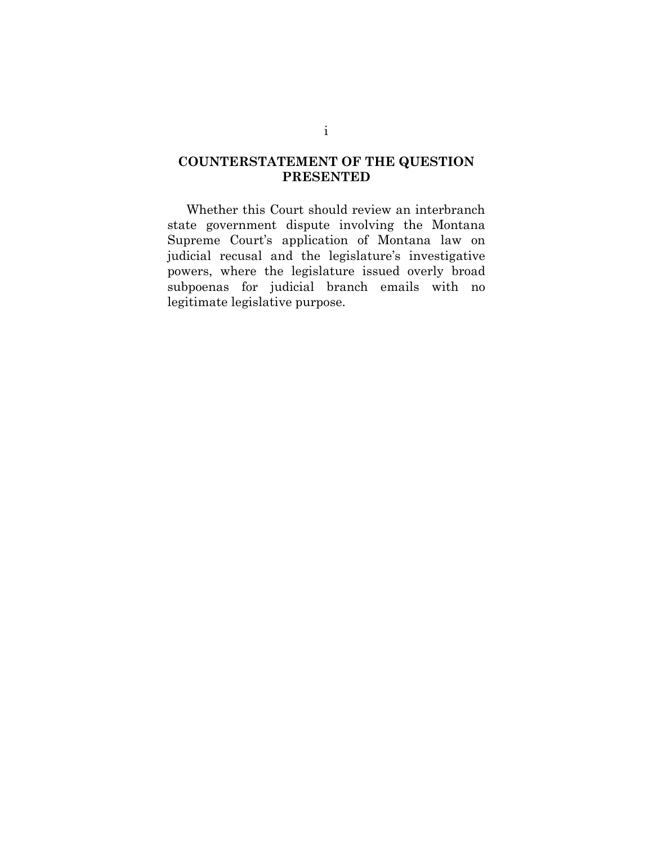# **COUNTERSTATEMENT OF THE QUESTION PRESENTED**

Whether this Court should review an interbranch state government dispute involving the Montana Supreme Court's application of Montana law on judicial recusal and the legislature's investigative powers, where the legislature issued overly broad subpoenas for judicial branch emails with no legitimate legislative purpose.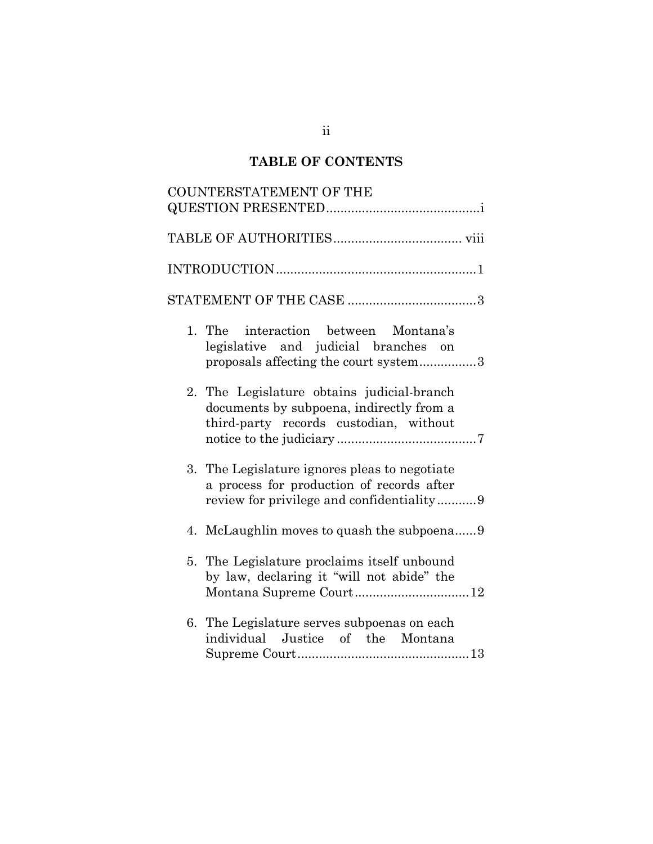# **TABLE OF CONTENTS**

| COUNTERSTATEMENT OF THE                                                                                                                 |
|-----------------------------------------------------------------------------------------------------------------------------------------|
|                                                                                                                                         |
|                                                                                                                                         |
|                                                                                                                                         |
|                                                                                                                                         |
| 1. The interaction between Montana's<br>legislative and judicial branches on<br>proposals affecting the court system3                   |
| 2. The Legislature obtains judicial-branch<br>documents by subpoena, indirectly from a<br>third-party records custodian, without        |
| 3. The Legislature ignores pleas to negotiate<br>a process for production of records after<br>review for privilege and confidentiality9 |
|                                                                                                                                         |
| 5. The Legislature proclaims itself unbound<br>by law, declaring it "will not abide" the<br>Montana Supreme Court12                     |
| 6. The Legislature serves subpoenas on each<br>individual Justice of the Montana                                                        |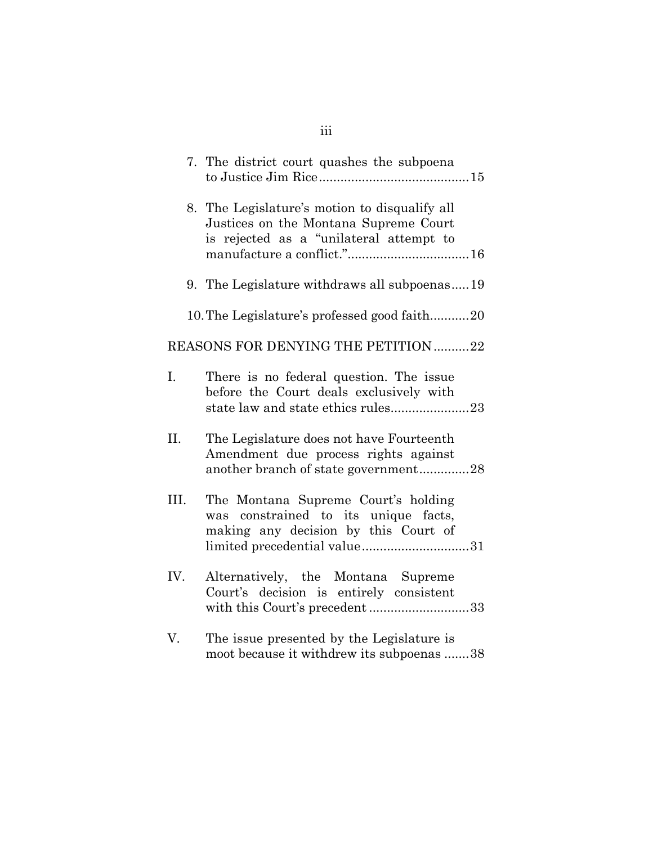|     | 7. The district court quashes the subpoena                                                                                                          |
|-----|-----------------------------------------------------------------------------------------------------------------------------------------------------|
|     | 8. The Legislature's motion to disqualify all<br>Justices on the Montana Supreme Court<br>is rejected as a "unilateral attempt to                   |
|     | 9. The Legislature withdraws all subpoenas19                                                                                                        |
|     | 10. The Legislature's professed good faith20                                                                                                        |
|     | REASONS FOR DENYING THE PETITION 22                                                                                                                 |
| I.  | There is no federal question. The issue<br>before the Court deals exclusively with<br>state law and state ethics rules23                            |
| II. | The Legislature does not have Fourteenth<br>Amendment due process rights against<br>another branch of state government28                            |
| Ш.  | The Montana Supreme Court's holding<br>was constrained to its unique facts,<br>making any decision by this Court of<br>limited precedential value31 |
| IV. | Alternatively, the Montana Supreme<br>Court's decision is entirely consistent                                                                       |
| V.  | The issue presented by the Legislature is<br>moot because it withdrew its subpoenas 38                                                              |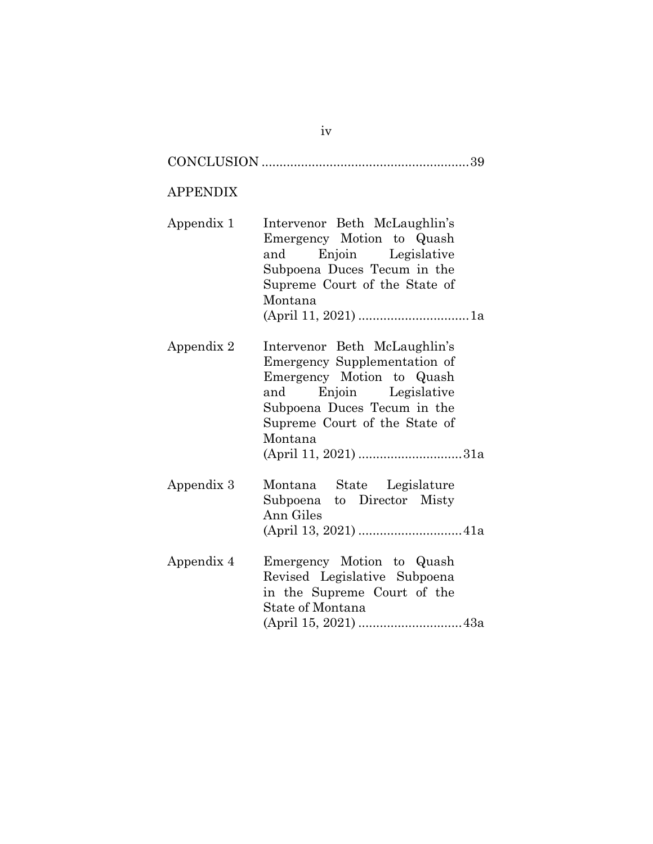#### APPENDIX

Appendix 1 Intervenor Beth McLaughlin's Emergency Motion to Quash and Enjoin Legislative Subpoena Duces Tecum in the Supreme Court of the State of Montana (April 11, 2021) ...............................1a

Appendix 2 Intervenor Beth McLaughlin's Emergency Supplementation of Emergency Motion to Quash and Enjoin Legislative Subpoena Duces Tecum in the Supreme Court of the State of Montana (April 11, 2021) .............................31a

- Appendix 3 Montana State Legislature Subpoena to Director Misty Ann Giles (April 13, 2021) .............................41a
- Appendix 4 Emergency Motion to Quash Revised Legislative Subpoena in the Supreme Court of the State of Montana (April 15, 2021) .............................43a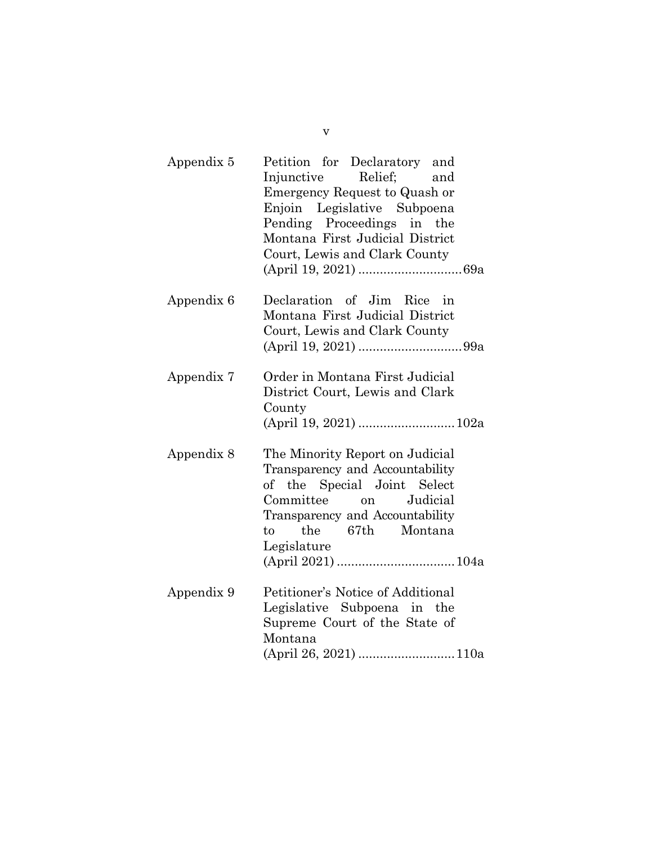| Appendix 5 | Petition for Declaratory and<br>Injunctive<br>Relief;<br>and<br>Emergency Request to Quash or<br>Enjoin Legislative Subpoena<br>Pending Proceedings in the<br>Montana First Judicial District<br>Court, Lewis and Clark County |
|------------|--------------------------------------------------------------------------------------------------------------------------------------------------------------------------------------------------------------------------------|
| Appendix 6 | Declaration of Jim Rice in<br>Montana First Judicial District<br>Court, Lewis and Clark County                                                                                                                                 |
| Appendix 7 | Order in Montana First Judicial<br>District Court, Lewis and Clark<br>County<br>(April 19, 2021)  102a                                                                                                                         |
| Appendix 8 | The Minority Report on Judicial<br>Transparency and Accountability<br>of the Special Joint Select<br>Committee<br>Judicial<br>on<br>Transparency and Accountability<br>the 67th Montana<br>to<br>Legislature                   |
| Appendix 9 | Petitioner's Notice of Additional<br>Legislative Subpoena in the<br>Supreme Court of the State of<br>Montana                                                                                                                   |

v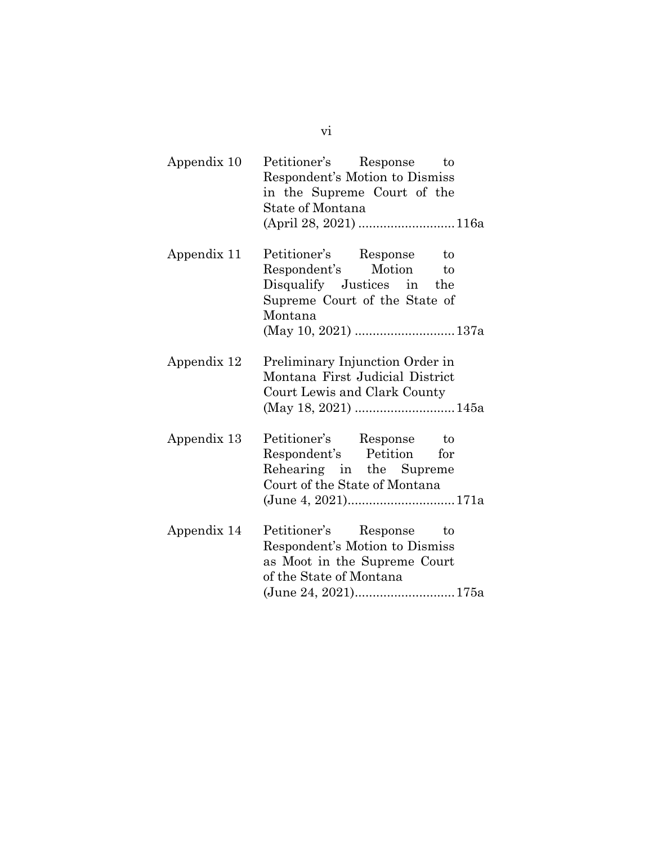| Appendix 10 Petitioner's Response to |  |
|--------------------------------------|--|
| Respondent's Motion to Dismiss       |  |
| in the Supreme Court of the          |  |
| State of Montana                     |  |
| (April 28, 2021) 116a                |  |

| Appendix 11 Petitioner's Response | to |
|-----------------------------------|----|
| Respondent's Motion               | to |
| Disqualify Justices in the        |    |
| Supreme Court of the State of     |    |
| Montana                           |    |
|                                   |    |

Appendix 12 Preliminary Injunction Order in Montana First Judicial District Court Lewis and Clark County (May 18, 2021) ............................145a

- Appendix 13 Petitioner's Response to Respondent's Petition for Rehearing in the Supreme Court of the State of Montana (June 4, 2021)..............................171a
- Appendix 14 Petitioner's Response to Respondent's Motion to Dismiss as Moot in the Supreme Court of the State of Montana (June 24, 2021)............................175a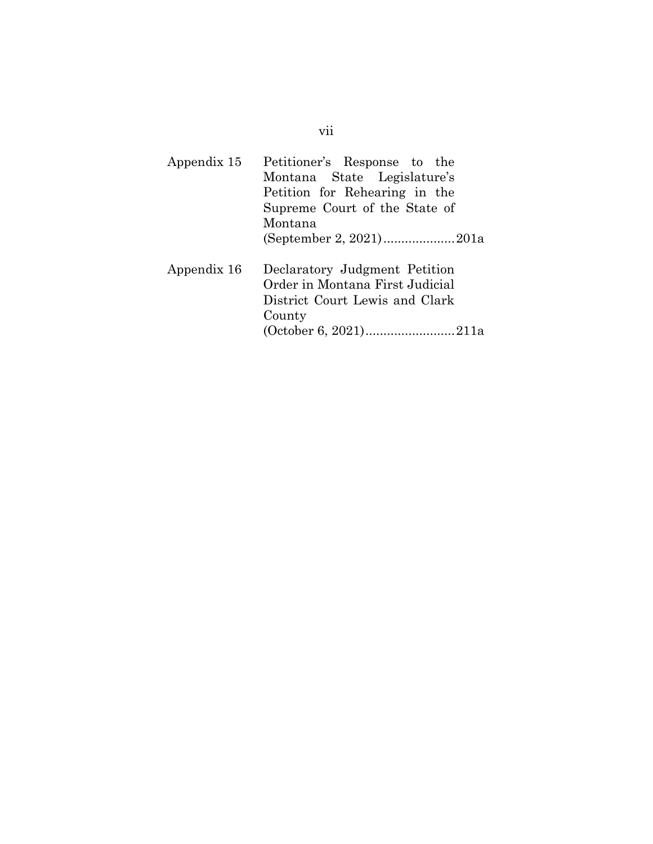# Appendix 15 Petitioner's Response to the Montana State Legislature's Petition for Rehearing in the Supreme Court of the State of Montana (September 2, 2021) ....................201a Appendix 16 Declaratory Judgment Petition Order in Montana First Judicial District Court Lewis and Clark County

(October 6, 2021).........................211a

#### vii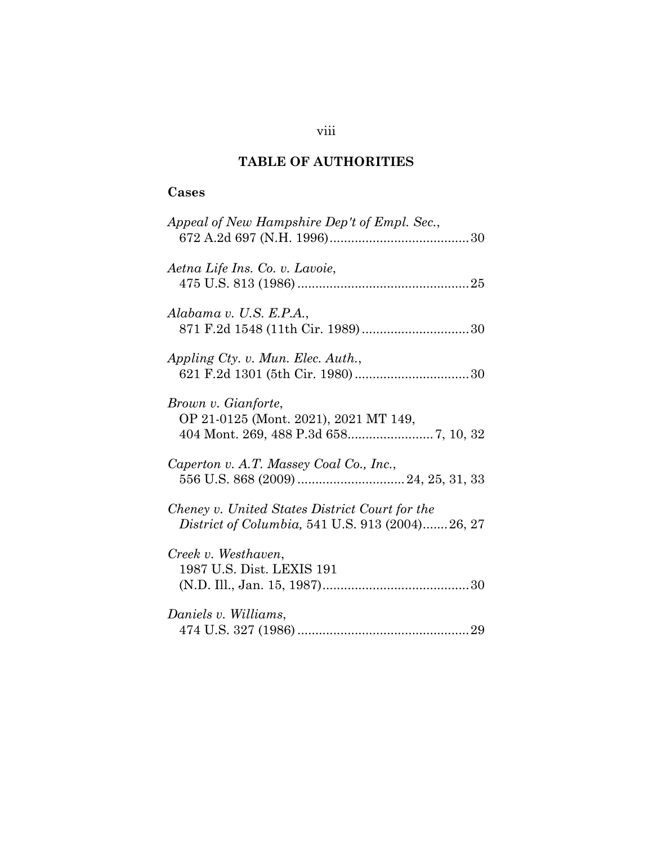# **TABLE OF AUTHORITIES**

# **Cases**

| Appeal of New Hampshire Dep't of Empl. Sec.,                                                      |  |
|---------------------------------------------------------------------------------------------------|--|
| Aetna Life Ins. Co. v. Lavoie,                                                                    |  |
| Alabama v. U.S. E.P.A.,<br>871 F.2d 1548 (11th Cir. 1989)30                                       |  |
| Appling Cty. v. Mun. Elec. Auth.,                                                                 |  |
| Brown v. Gianforte,<br>OP 21-0125 (Mont. 2021), 2021 MT 149,                                      |  |
| Caperton v. A.T. Massey Coal Co., Inc.,                                                           |  |
| Cheney v. United States District Court for the<br>District of Columbia, 541 U.S. 913 (2004)26, 27 |  |
| Creek v. Westhaven,<br>1987 U.S. Dist. LEXIS 191                                                  |  |
| Daniels v. Williams,                                                                              |  |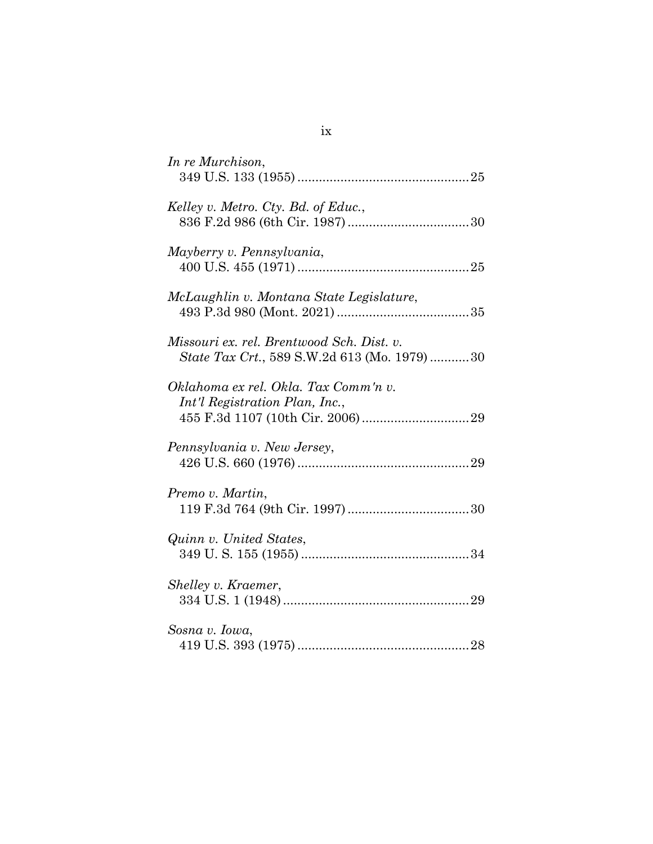| In re Murchison,                                                                          |
|-------------------------------------------------------------------------------------------|
| Kelley v. Metro. Cty. Bd. of Educ.,                                                       |
| Mayberry v. Pennsylvania,                                                                 |
| McLaughlin v. Montana State Legislature,                                                  |
| Missouri ex. rel. Brentwood Sch. Dist. v.<br>State Tax Crt., 589 S.W.2d 613 (Mo. 1979) 30 |
| Oklahoma ex rel. Okla. Tax Comm'n v.<br>Int'l Registration Plan, Inc.,                    |
| Pennsylvania v. New Jersey,                                                               |
| Premo v. Martin,                                                                          |
| Quinn v. United States,                                                                   |
| Shelley v. Kraemer,                                                                       |
| Sosna v. Iowa,                                                                            |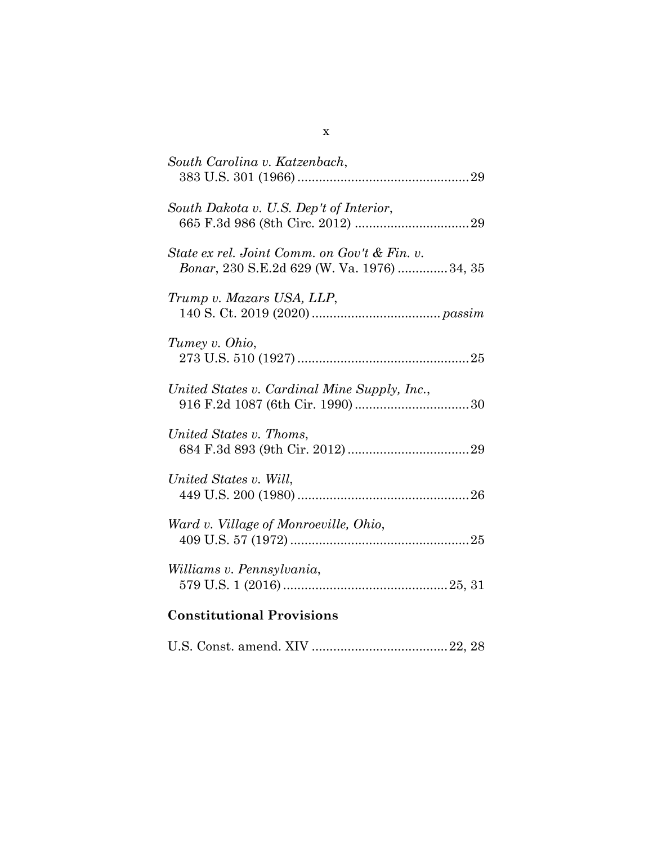| South Carolina v. Katzenbach,                                                               |
|---------------------------------------------------------------------------------------------|
| South Dakota v. U.S. Dep't of Interior,                                                     |
| State ex rel. Joint Comm. on Gov't & Fin. v.<br>Bonar, 230 S.E.2d 629 (W. Va. 1976)  34, 35 |
| Trump v. Mazars USA, LLP,                                                                   |
| Tumey v. Ohio,                                                                              |
| United States v. Cardinal Mine Supply, Inc.,                                                |
| United States v. Thoms,                                                                     |
| United States v. Will,                                                                      |
| Ward v. Village of Monroeville, Ohio,                                                       |
| Williams v. Pennsylvania,                                                                   |
| <b>Constitutional Provisions</b>                                                            |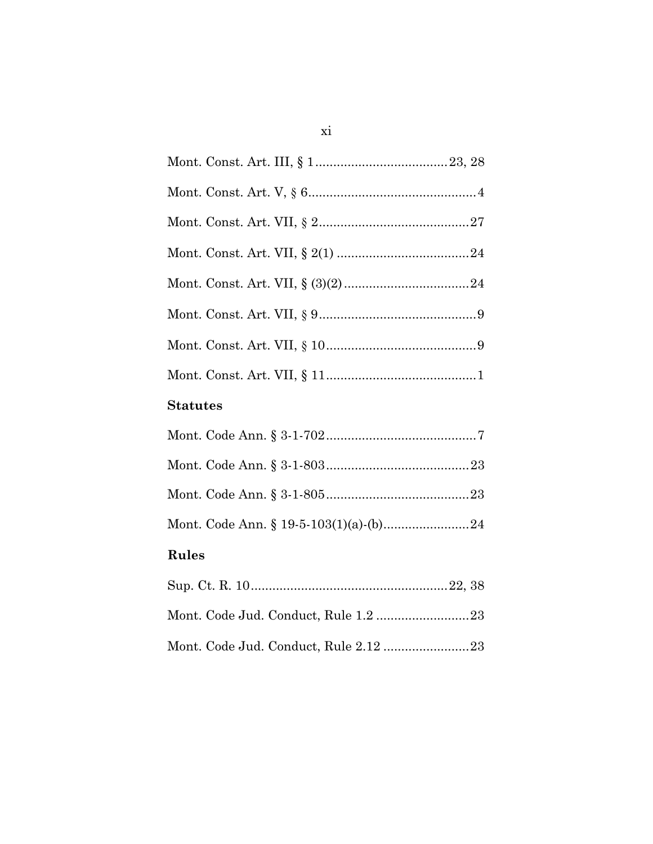| <b>Statutes</b>                       |
|---------------------------------------|
|                                       |
|                                       |
|                                       |
|                                       |
| <b>Rules</b>                          |
|                                       |
|                                       |
| Mont. Code Jud. Conduct, Rule 2.12 23 |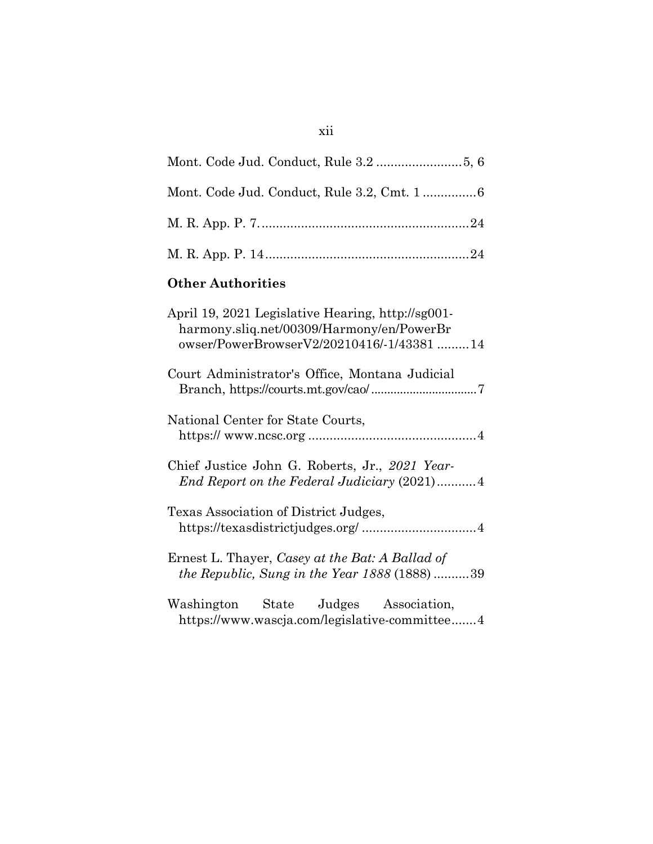| <b>Other Authorities</b>                                                                                                                    |
|---------------------------------------------------------------------------------------------------------------------------------------------|
| April 19, 2021 Legislative Hearing, http://sg001-<br>harmony.sliq.net/00309/Harmony/en/PowerBr<br>owser/PowerBrowserV2/20210416/-1/43381 14 |
| Court Administrator's Office, Montana Judicial                                                                                              |
| National Center for State Courts,                                                                                                           |
| Chief Justice John G. Roberts, Jr., 2021 Year-<br>End Report on the Federal Judiciary (2021)4                                               |
| Texas Association of District Judges,                                                                                                       |
| Ernest L. Thayer, Casey at the Bat: A Ballad of<br>the Republic, Sung in the Year 1888 (1888) 39                                            |
| Washington State Judges Association,<br>https://www.wascja.com/legislative-committee4                                                       |

# xii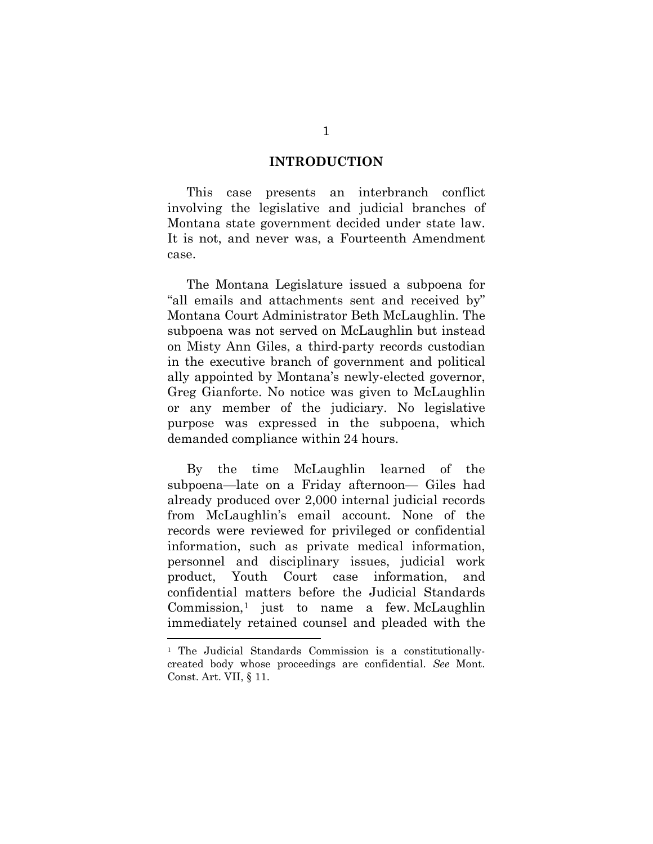#### **INTRODUCTION**

This case presents an interbranch conflict involving the legislative and judicial branches of Montana state government decided under state law. It is not, and never was, a Fourteenth Amendment case.

The Montana Legislature issued a subpoena for "all emails and attachments sent and received by" Montana Court Administrator Beth McLaughlin. The subpoena was not served on McLaughlin but instead on Misty Ann Giles, a third-party records custodian in the executive branch of government and political ally appointed by Montana's newly-elected governor, Greg Gianforte. No notice was given to McLaughlin or any member of the judiciary. No legislative purpose was expressed in the subpoena, which demanded compliance within 24 hours.

By the time McLaughlin learned of the subpoena—late on a Friday afternoon— Giles had already produced over 2,000 internal judicial records from McLaughlin's email account. None of the records were reviewed for privileged or confidential information, such as private medical information, personnel and disciplinary issues, judicial work product, Youth Court case information, and confidential matters before the Judicial Standards Commission, $<sup>1</sup>$  $<sup>1</sup>$  $<sup>1</sup>$  just to name a few. McLaughlin</sup> immediately retained counsel and pleaded with the

<span id="page-13-0"></span><sup>&</sup>lt;sup>1</sup> The Judicial Standards Commission is a constitutionallycreated body whose proceedings are confidential. *See* Mont. Const. Art. VII, § 11.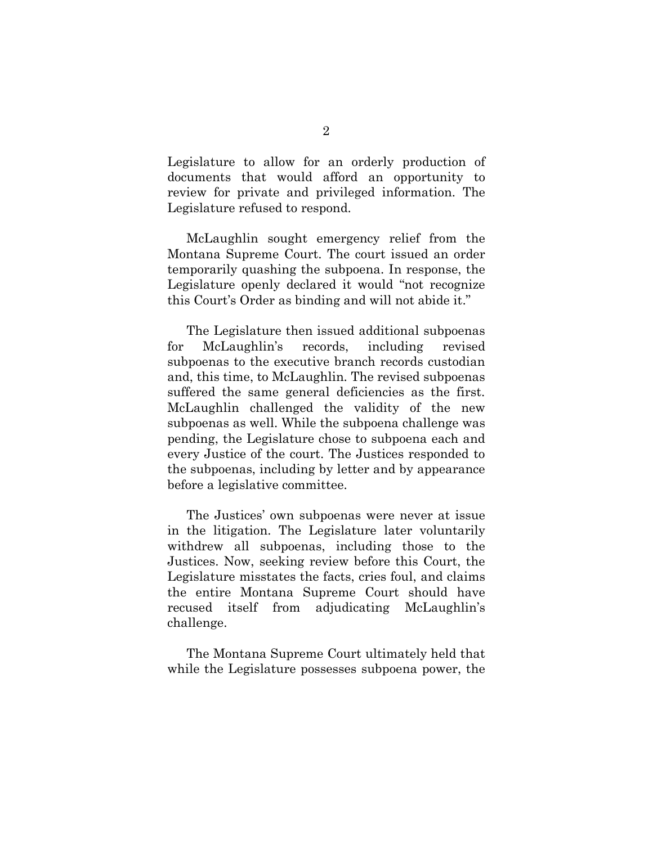Legislature to allow for an orderly production of documents that would afford an opportunity to review for private and privileged information. The Legislature refused to respond.

McLaughlin sought emergency relief from the Montana Supreme Court. The court issued an order temporarily quashing the subpoena. In response, the Legislature openly declared it would "not recognize this Court's Order as binding and will not abide it."

The Legislature then issued additional subpoenas for McLaughlin's records, including revised subpoenas to the executive branch records custodian and, this time, to McLaughlin. The revised subpoenas suffered the same general deficiencies as the first. McLaughlin challenged the validity of the new subpoenas as well. While the subpoena challenge was pending, the Legislature chose to subpoena each and every Justice of the court. The Justices responded to the subpoenas, including by letter and by appearance before a legislative committee.

The Justices' own subpoenas were never at issue in the litigation. The Legislature later voluntarily withdrew all subpoenas, including those to the Justices. Now, seeking review before this Court, the Legislature misstates the facts, cries foul, and claims the entire Montana Supreme Court should have recused itself from adjudicating McLaughlin's challenge.

The Montana Supreme Court ultimately held that while the Legislature possesses subpoena power, the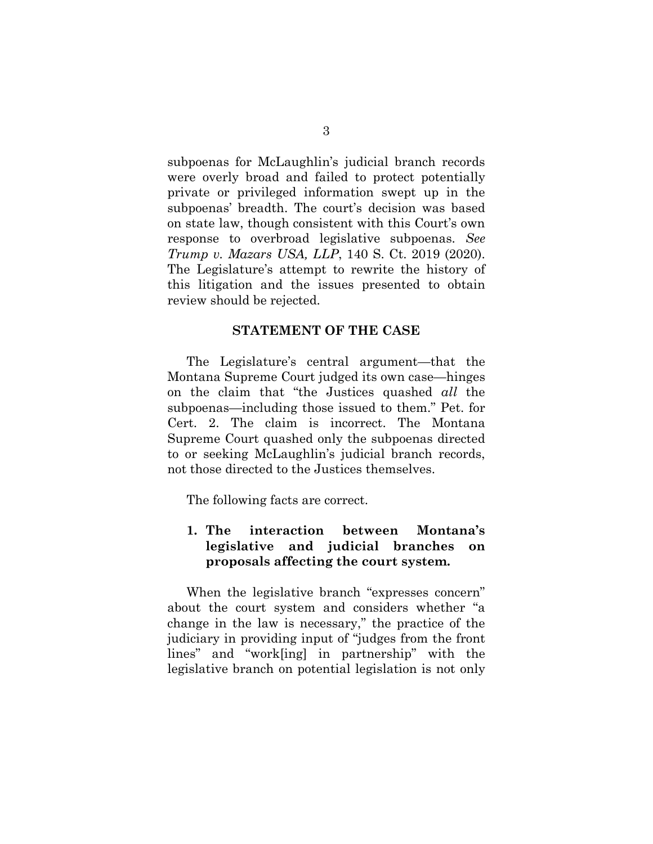subpoenas for McLaughlin's judicial branch records were overly broad and failed to protect potentially private or privileged information swept up in the subpoenas' breadth. The court's decision was based on state law, though consistent with this Court's own response to overbroad legislative subpoenas. *See Trump v. Mazars USA, LLP*, 140 S. Ct. 2019 (2020). The Legislature's attempt to rewrite the history of this litigation and the issues presented to obtain review should be rejected.

#### **STATEMENT OF THE CASE**

The Legislature's central argument—that the Montana Supreme Court judged its own case—hinges on the claim that "the Justices quashed *all* the subpoenas—including those issued to them." Pet. for Cert. 2. The claim is incorrect. The Montana Supreme Court quashed only the subpoenas directed to or seeking McLaughlin's judicial branch records, not those directed to the Justices themselves.

The following facts are correct.

## **1. The interaction between Montana's legislative and judicial branches on proposals affecting the court system.**

When the legislative branch "expresses concern" about the court system and considers whether "a change in the law is necessary," the practice of the judiciary in providing input of "judges from the front lines" and "work[ing] in partnership" with the legislative branch on potential legislation is not only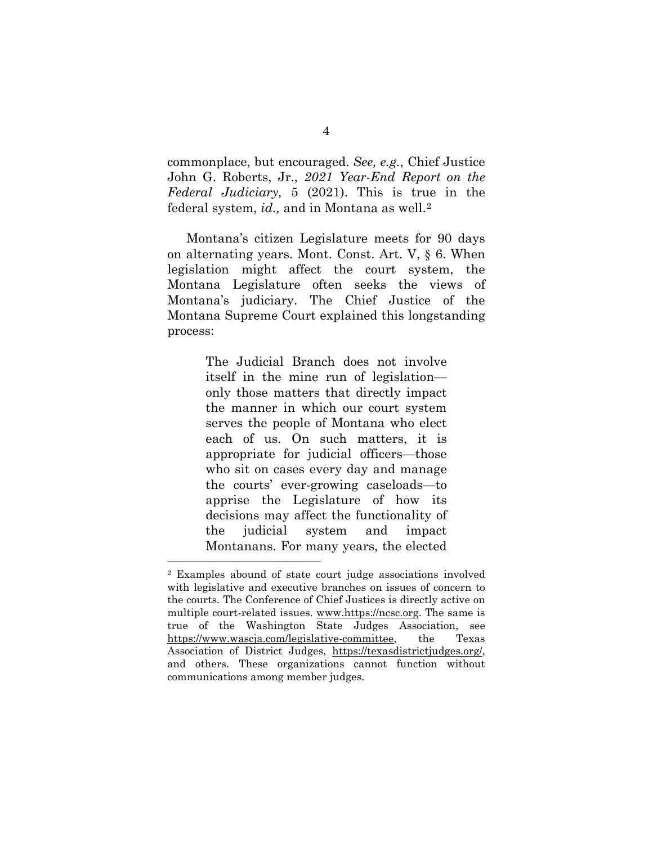commonplace, but encouraged. *See, e.g.*, Chief Justice John G. Roberts, Jr., *2021 Year-End Report on the Federal Judiciary,* 5 (2021). This is true in the federal system, *id.,* and in Montana as well.[2](#page-16-0)

Montana's citizen Legislature meets for 90 days on alternating years. Mont. Const. Art. V, § 6. When legislation might affect the court system, the Montana Legislature often seeks the views of Montana's judiciary. The Chief Justice of the Montana Supreme Court explained this longstanding process:

> The Judicial Branch does not involve itself in the mine run of legislation only those matters that directly impact the manner in which our court system serves the people of Montana who elect each of us. On such matters, it is appropriate for judicial officers—those who sit on cases every day and manage the courts' ever-growing caseloads—to apprise the Legislature of how its decisions may affect the functionality of the judicial system and impact Montanans. For many years, the elected

<span id="page-16-0"></span><sup>2</sup> Examples abound of state court judge associations involved with legislative and executive branches on issues of concern to the courts. The Conference of Chief Justices is directly active on multiple court-related issues. [www.https://ncsc.org.](http://www.https/ncsc.org) The same is true of the Washington State Judges Association, see [https://www.wascja.com/legislative-committee,](https://www.wascja.com/legislative-committee) the Texas Association of District Judges, [https://texasdistrictjudges.org/,](https://texasdistrictjudges.org/) and others. These organizations cannot function without communications among member judges.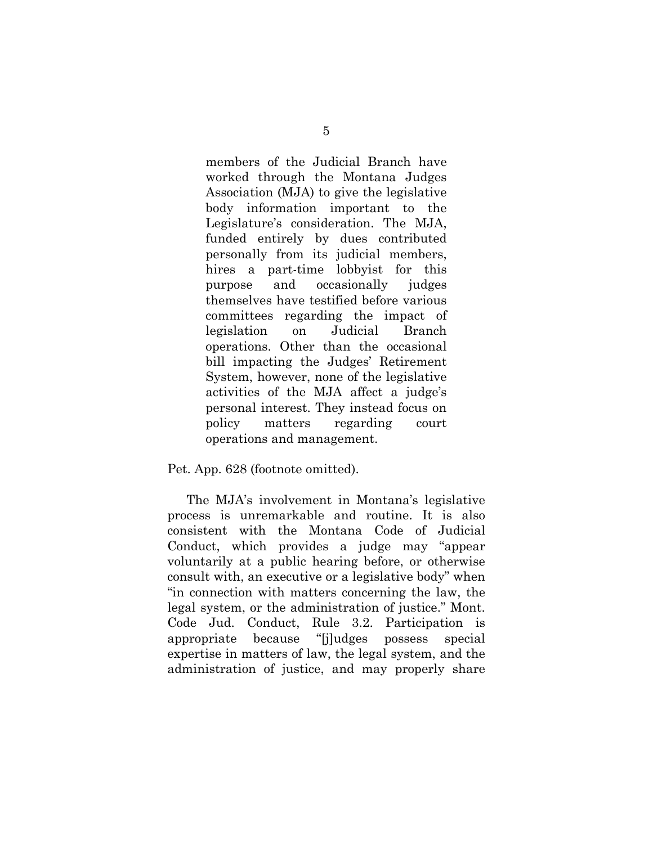members of the Judicial Branch have worked through the Montana Judges Association (MJA) to give the legislative body information important to the Legislature's consideration. The MJA, funded entirely by dues contributed personally from its judicial members, hires a part-time lobbyist for this purpose and occasionally judges themselves have testified before various committees regarding the impact of legislation on Judicial Branch operations. Other than the occasional bill impacting the Judges' Retirement System, however, none of the legislative activities of the MJA affect a judge's personal interest. They instead focus on policy matters regarding court operations and management.

Pet. App. 628 (footnote omitted).

The MJA's involvement in Montana's legislative process is unremarkable and routine. It is also consistent with the Montana Code of Judicial Conduct, which provides a judge may "appear voluntarily at a public hearing before, or otherwise consult with, an executive or a legislative body" when "in connection with matters concerning the law, the legal system, or the administration of justice." Mont. Code Jud. Conduct, Rule 3.2. Participation is appropriate because "[j]udges possess special expertise in matters of law, the legal system, and the administration of justice, and may properly share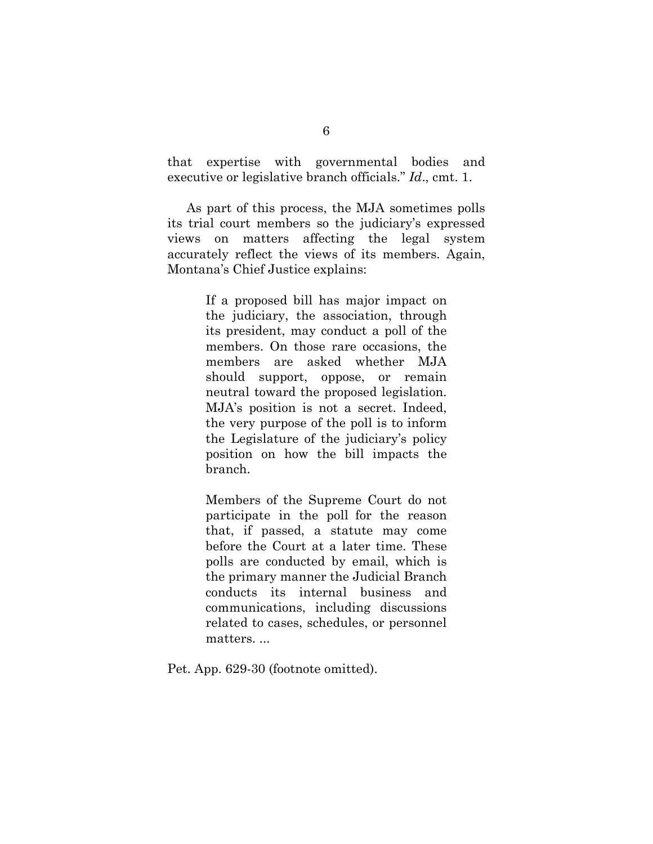that expertise with governmental bodies and executive or legislative branch officials." *Id*., cmt. 1.

As part of this process, the MJA sometimes polls its trial court members so the judiciary's expressed views on matters affecting the legal system accurately reflect the views of its members. Again, Montana's Chief Justice explains:

> If a proposed bill has major impact on the judiciary, the association, through its president, may conduct a poll of the members. On those rare occasions, the members are asked whether MJA should support, oppose, or remain neutral toward the proposed legislation. MJA's position is not a secret. Indeed, the very purpose of the poll is to inform the Legislature of the judiciary's policy position on how the bill impacts the branch.

> Members of the Supreme Court do not participate in the poll for the reason that, if passed, a statute may come before the Court at a later time. These polls are conducted by email, which is the primary manner the Judicial Branch conducts its internal business and communications, including discussions related to cases, schedules, or personnel matters. ...

Pet. App. 629-30 (footnote omitted).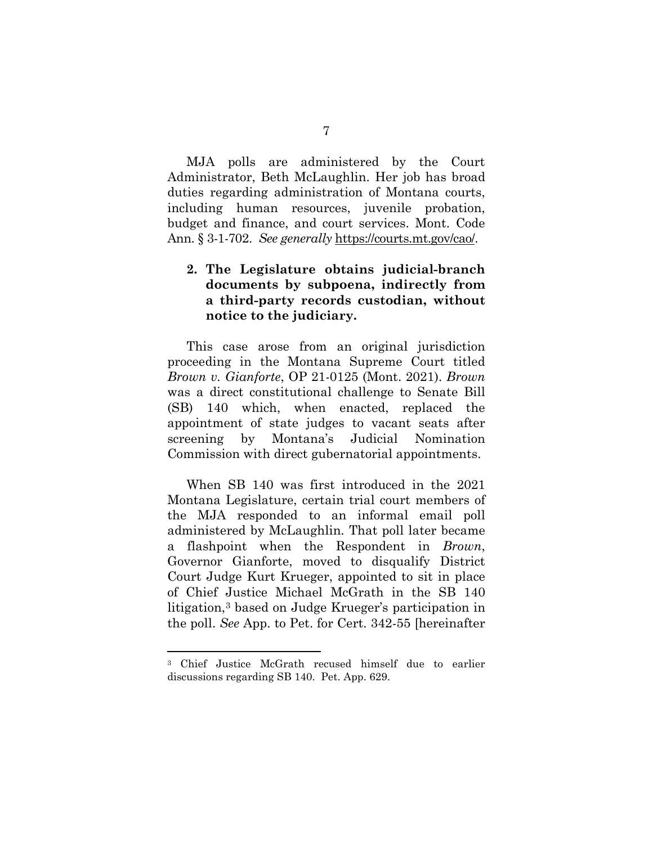MJA polls are administered by the Court Administrator, Beth McLaughlin. Her job has broad duties regarding administration of Montana courts, including human resources, juvenile probation, budget and finance, and court services. Mont. Code Ann. § 3-1-702. *See generally* [https://courts.mt.gov/cao/.](https://courts.mt.gov/cao/)

### **2. The Legislature obtains judicial-branch documents by subpoena, indirectly from a third-party records custodian, without notice to the judiciary.**

This case arose from an original jurisdiction proceeding in the Montana Supreme Court titled *Brown v. Gianforte*, OP 21-0125 (Mont. 2021). *Brown* was a direct constitutional challenge to Senate Bill (SB) 140 which, when enacted, replaced the appointment of state judges to vacant seats after screening by Montana's Judicial Nomination Commission with direct gubernatorial appointments.

When SB 140 was first introduced in the 2021 Montana Legislature, certain trial court members of the MJA responded to an informal email poll administered by McLaughlin. That poll later became a flashpoint when the Respondent in *Brown*, Governor Gianforte, moved to disqualify District Court Judge Kurt Krueger, appointed to sit in place of Chief Justice Michael McGrath in the SB 140 litigation,[3](#page-19-0) based on Judge Krueger's participation in the poll. *See* App. to Pet. for Cert. 342-55 [hereinafter

<span id="page-19-0"></span><sup>3</sup> Chief Justice McGrath recused himself due to earlier discussions regarding SB 140. Pet. App. 629.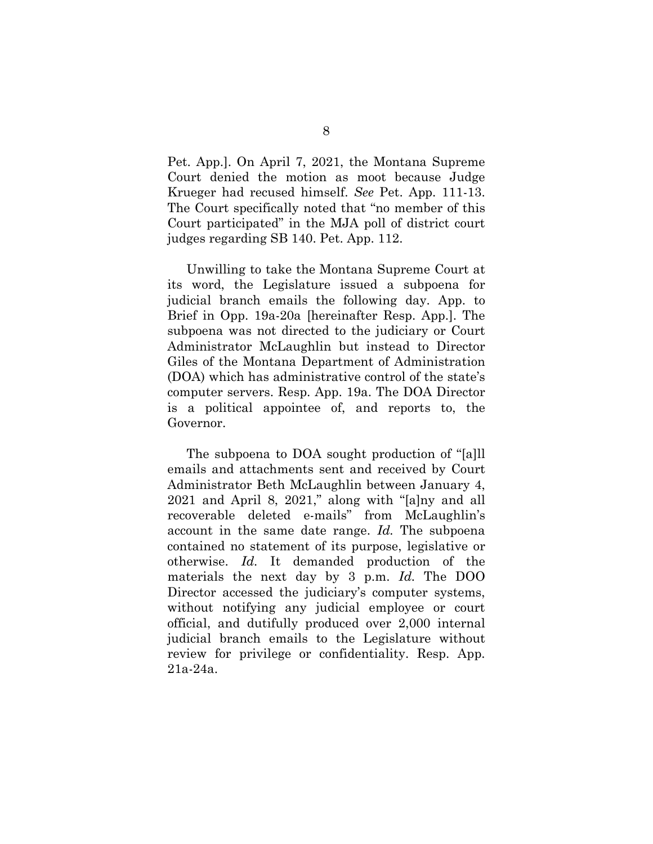Pet. App.]. On April 7, 2021, the Montana Supreme Court denied the motion as moot because Judge Krueger had recused himself. *See* Pet. App. 111-13. The Court specifically noted that "no member of this Court participated" in the MJA poll of district court judges regarding SB 140. Pet. App. 112.

Unwilling to take the Montana Supreme Court at its word, the Legislature issued a subpoena for judicial branch emails the following day. App. to Brief in Opp. 19a-20a [hereinafter Resp. App.]. The subpoena was not directed to the judiciary or Court Administrator McLaughlin but instead to Director Giles of the Montana Department of Administration (DOA) which has administrative control of the state's computer servers. Resp. App. 19a. The DOA Director is a political appointee of, and reports to, the Governor.

The subpoena to DOA sought production of "[a]ll emails and attachments sent and received by Court Administrator Beth McLaughlin between January 4, 2021 and April 8, 2021," along with "[a]ny and all recoverable deleted e-mails" from McLaughlin's account in the same date range. *Id.* The subpoena contained no statement of its purpose, legislative or otherwise. *Id.* It demanded production of the materials the next day by 3 p.m. *Id.* The DOO Director accessed the judiciary's computer systems, without notifying any judicial employee or court official, and dutifully produced over 2,000 internal judicial branch emails to the Legislature without review for privilege or confidentiality. Resp. App. 21a-24a.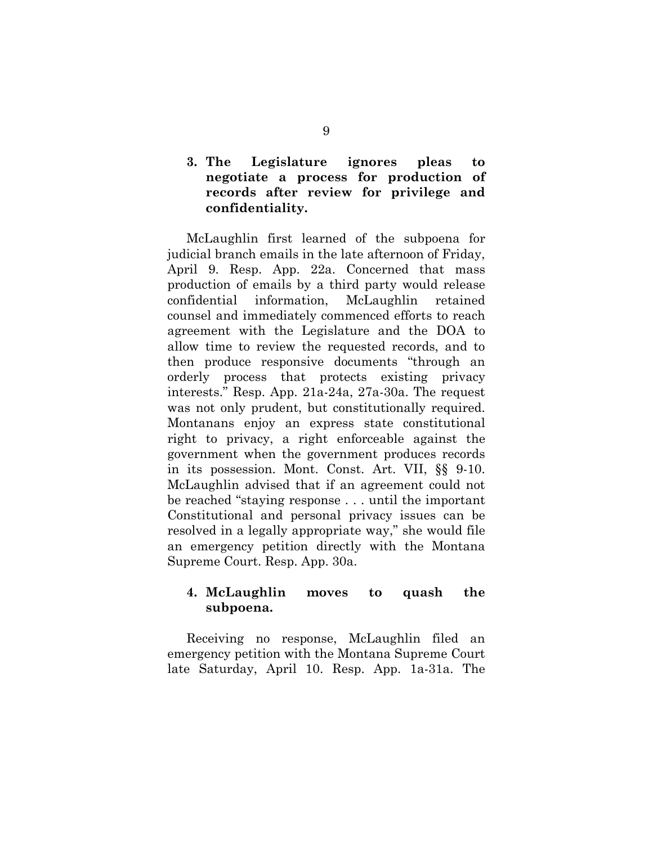## **3. The Legislature ignores pleas to negotiate a process for production of records after review for privilege and confidentiality.**

McLaughlin first learned of the subpoena for judicial branch emails in the late afternoon of Friday, April 9. Resp. App. 22a. Concerned that mass production of emails by a third party would release confidential information, McLaughlin retained counsel and immediately commenced efforts to reach agreement with the Legislature and the DOA to allow time to review the requested records, and to then produce responsive documents "through an orderly process that protects existing privacy interests." Resp. App. 21a-24a, 27a-30a. The request was not only prudent, but constitutionally required. Montanans enjoy an express state constitutional right to privacy, a right enforceable against the government when the government produces records in its possession. Mont. Const. Art. VII, §§ 9-10. McLaughlin advised that if an agreement could not be reached "staying response . . . until the important Constitutional and personal privacy issues can be resolved in a legally appropriate way," she would file an emergency petition directly with the Montana Supreme Court. Resp. App. 30a.

## **4. McLaughlin moves to quash the subpoena.**

Receiving no response, McLaughlin filed an emergency petition with the Montana Supreme Court late Saturday, April 10. Resp. App. 1a-31a. The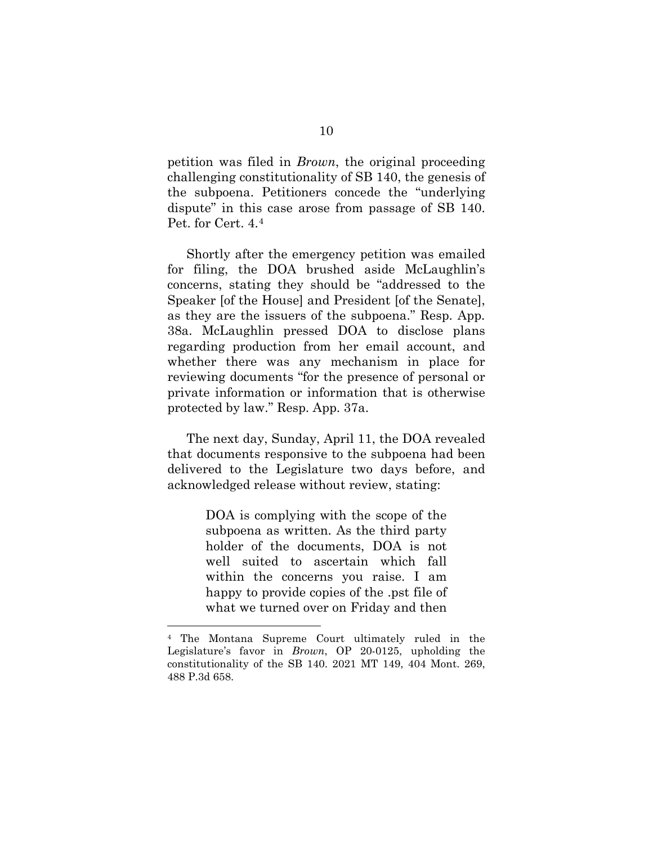petition was filed in *Brown*, the original proceeding challenging constitutionality of SB 140, the genesis of the subpoena. Petitioners concede the "underlying dispute" in this case arose from passage of SB 140. Pet. for Cert. 4.[4](#page-22-0)

Shortly after the emergency petition was emailed for filing, the DOA brushed aside McLaughlin's concerns, stating they should be "addressed to the Speaker [of the House] and President [of the Senate], as they are the issuers of the subpoena." Resp. App. 38a. McLaughlin pressed DOA to disclose plans regarding production from her email account, and whether there was any mechanism in place for reviewing documents "for the presence of personal or private information or information that is otherwise protected by law." Resp. App. 37a.

The next day, Sunday, April 11, the DOA revealed that documents responsive to the subpoena had been delivered to the Legislature two days before, and acknowledged release without review, stating:

> DOA is complying with the scope of the subpoena as written. As the third party holder of the documents, DOA is not well suited to ascertain which fall within the concerns you raise. I am happy to provide copies of the .pst file of what we turned over on Friday and then

<span id="page-22-0"></span><sup>4</sup> The Montana Supreme Court ultimately ruled in the Legislature's favor in *Brown*, OP 20-0125, upholding the constitutionality of the SB 140. 2021 MT 149, 404 Mont. 269, 488 P.3d 658.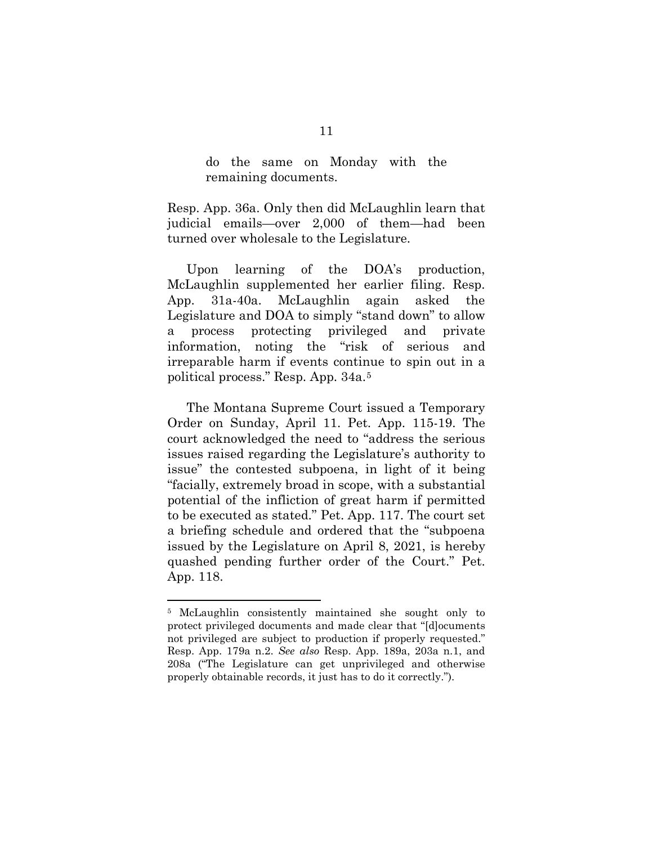do the same on Monday with the remaining documents.

Resp. App. 36a. Only then did McLaughlin learn that judicial emails—over 2,000 of them—had been turned over wholesale to the Legislature.

Upon learning of the DOA's production, McLaughlin supplemented her earlier filing. Resp. App. 31a-40a. McLaughlin again asked the Legislature and DOA to simply "stand down" to allow a process protecting privileged and private information, noting the "risk of serious and irreparable harm if events continue to spin out in a political process." Resp. App. 34a.[5](#page-23-0)

The Montana Supreme Court issued a Temporary Order on Sunday, April 11. Pet. App. 115-19. The court acknowledged the need to "address the serious issues raised regarding the Legislature's authority to issue" the contested subpoena, in light of it being "facially, extremely broad in scope, with a substantial potential of the infliction of great harm if permitted to be executed as stated." Pet. App. 117. The court set a briefing schedule and ordered that the "subpoena issued by the Legislature on April 8, 2021, is hereby quashed pending further order of the Court." Pet. App. 118.

<span id="page-23-0"></span><sup>5</sup> McLaughlin consistently maintained she sought only to protect privileged documents and made clear that "[d]ocuments not privileged are subject to production if properly requested." Resp. App. 179a n.2. *See also* Resp. App. 189a, 203a n.1, and 208a ("The Legislature can get unprivileged and otherwise properly obtainable records, it just has to do it correctly.").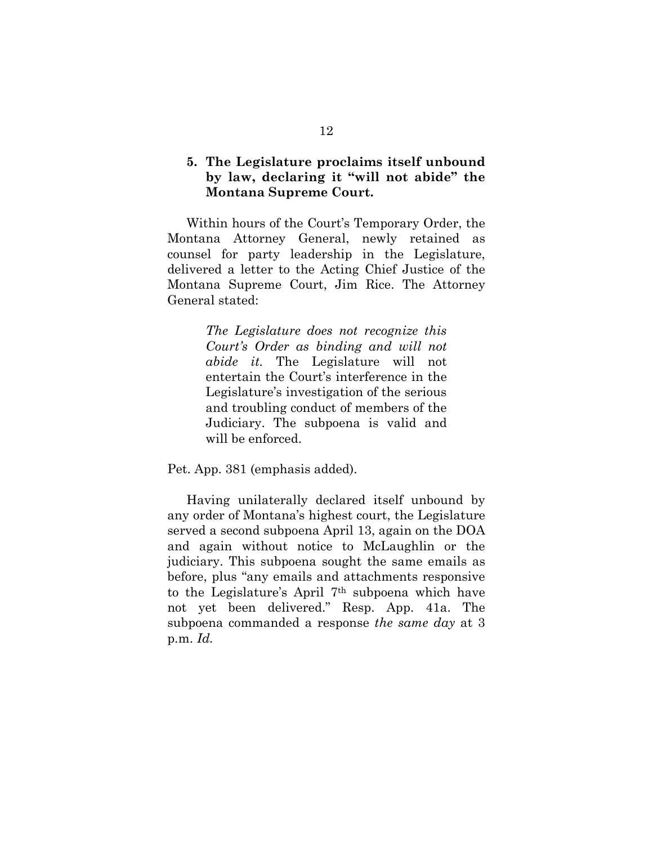#### **5. The Legislature proclaims itself unbound by law, declaring it "will not abide" the Montana Supreme Court.**

Within hours of the Court's Temporary Order, the Montana Attorney General, newly retained as counsel for party leadership in the Legislature, delivered a letter to the Acting Chief Justice of the Montana Supreme Court, Jim Rice. The Attorney General stated:

> *The Legislature does not recognize this Court's Order as binding and will not abide it.* The Legislature will not entertain the Court's interference in the Legislature's investigation of the serious and troubling conduct of members of the Judiciary. The subpoena is valid and will be enforced.

Pet. App. 381 (emphasis added).

Having unilaterally declared itself unbound by any order of Montana's highest court, the Legislature served a second subpoena April 13, again on the DOA and again without notice to McLaughlin or the judiciary. This subpoena sought the same emails as before, plus "any emails and attachments responsive to the Legislature's April 7th subpoena which have not yet been delivered." Resp. App. 41a. The subpoena commanded a response *the same day* at 3 p.m. *Id.*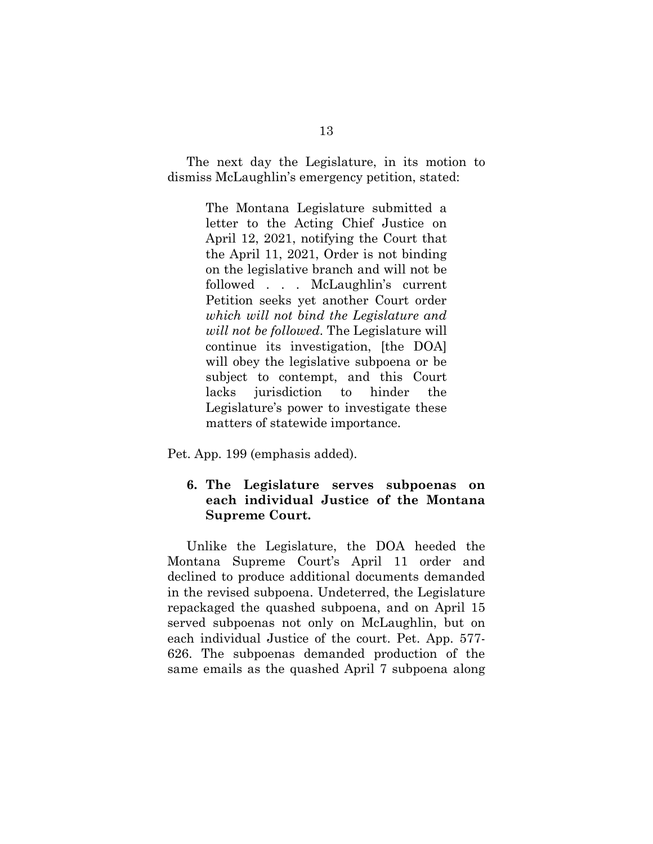The next day the Legislature, in its motion to dismiss McLaughlin's emergency petition, stated:

> The Montana Legislature submitted a letter to the Acting Chief Justice on April 12, 2021, notifying the Court that the April 11, 2021, Order is not binding on the legislative branch and will not be followed . . . McLaughlin's current Petition seeks yet another Court order *which will not bind the Legislature and will not be followed*. The Legislature will continue its investigation, [the DOA] will obey the legislative subpoena or be subject to contempt, and this Court lacks jurisdiction to hinder the Legislature's power to investigate these matters of statewide importance.

Pet. App. 199 (emphasis added).

### **6. The Legislature serves subpoenas on each individual Justice of the Montana Supreme Court.**

Unlike the Legislature, the DOA heeded the Montana Supreme Court's April 11 order and declined to produce additional documents demanded in the revised subpoena. Undeterred, the Legislature repackaged the quashed subpoena, and on April 15 served subpoenas not only on McLaughlin, but on each individual Justice of the court. Pet. App. 577- 626. The subpoenas demanded production of the same emails as the quashed April 7 subpoena along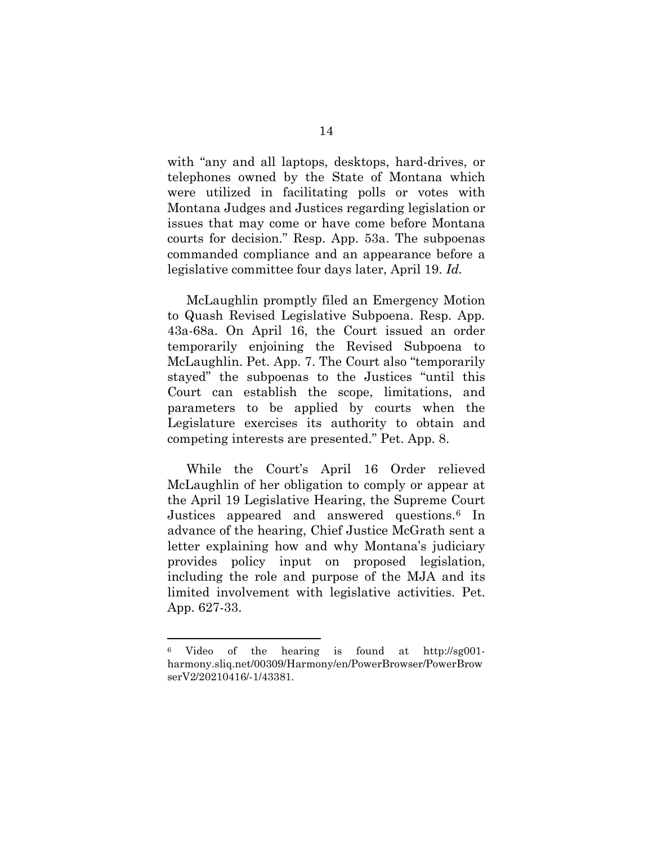with "any and all laptops, desktops, hard-drives, or telephones owned by the State of Montana which were utilized in facilitating polls or votes with Montana Judges and Justices regarding legislation or issues that may come or have come before Montana courts for decision." Resp. App. 53a. The subpoenas commanded compliance and an appearance before a legislative committee four days later, April 19. *Id.*

McLaughlin promptly filed an Emergency Motion to Quash Revised Legislative Subpoena. Resp. App. 43a-68a. On April 16, the Court issued an order temporarily enjoining the Revised Subpoena to McLaughlin. Pet. App. 7. The Court also "temporarily stayed" the subpoenas to the Justices "until this Court can establish the scope, limitations, and parameters to be applied by courts when the Legislature exercises its authority to obtain and competing interests are presented." Pet. App. 8.

While the Court's April 16 Order relieved McLaughlin of her obligation to comply or appear at the April 19 Legislative Hearing, the Supreme Court Justices appeared and answered questions.[6](#page-26-0) In advance of the hearing, Chief Justice McGrath sent a letter explaining how and why Montana's judiciary provides policy input on proposed legislation, including the role and purpose of the MJA and its limited involvement with legislative activities. Pet. App. 627-33.

<span id="page-26-0"></span><sup>6</sup> Video of the hearing is found at http://sg001 harmony.sliq.net/00309/Harmony/en/PowerBrowser/PowerBrow serV2/20210416/-1/43381.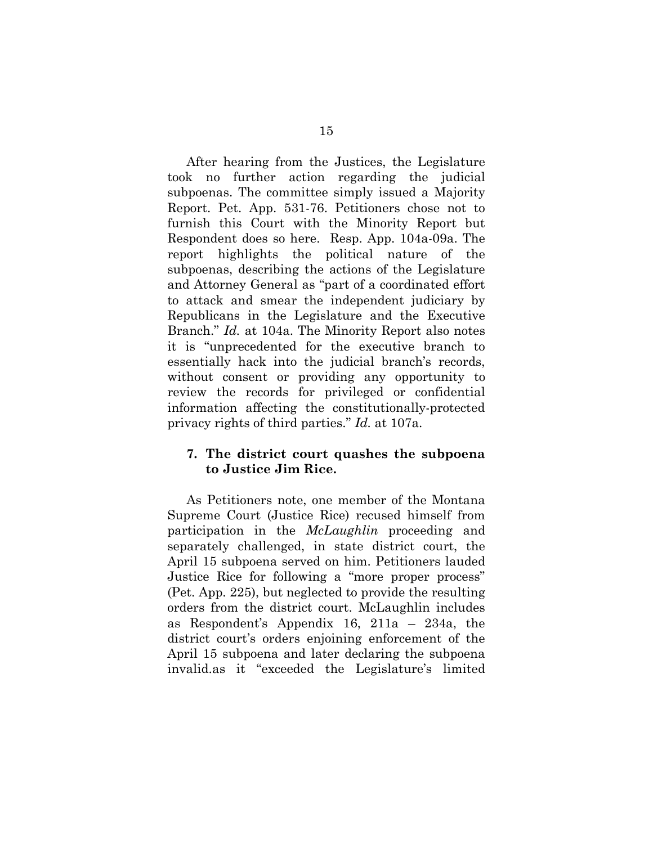After hearing from the Justices, the Legislature took no further action regarding the judicial subpoenas. The committee simply issued a Majority Report. Pet. App. 531-76. Petitioners chose not to furnish this Court with the Minority Report but Respondent does so here. Resp. App. 104a-09a. The report highlights the political nature of the subpoenas, describing the actions of the Legislature and Attorney General as "part of a coordinated effort to attack and smear the independent judiciary by Republicans in the Legislature and the Executive Branch." *Id.* at 104a. The Minority Report also notes it is "unprecedented for the executive branch to essentially hack into the judicial branch's records, without consent or providing any opportunity to review the records for privileged or confidential information affecting the constitutionally-protected privacy rights of third parties." *Id.* at 107a.

#### **7. The district court quashes the subpoena to Justice Jim Rice.**

As Petitioners note, one member of the Montana Supreme Court (Justice Rice) recused himself from participation in the *McLaughlin* proceeding and separately challenged, in state district court, the April 15 subpoena served on him. Petitioners lauded Justice Rice for following a "more proper process" (Pet. App. 225), but neglected to provide the resulting orders from the district court. McLaughlin includes as Respondent's Appendix 16, 211a – 234a, the district court's orders enjoining enforcement of the April 15 subpoena and later declaring the subpoena invalid.as it "exceeded the Legislature's limited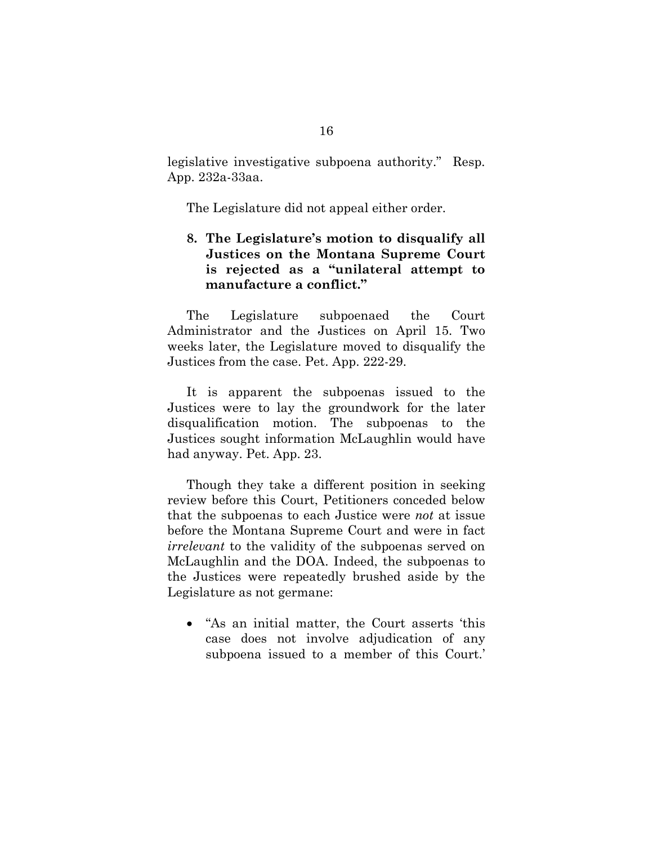legislative investigative subpoena authority." Resp. App. 232a-33aa.

The Legislature did not appeal either order.

## **8. The Legislature's motion to disqualify all Justices on the Montana Supreme Court is rejected as a "unilateral attempt to manufacture a conflict."**

The Legislature subpoenaed the Court Administrator and the Justices on April 15. Two weeks later, the Legislature moved to disqualify the Justices from the case. Pet. App. 222-29.

It is apparent the subpoenas issued to the Justices were to lay the groundwork for the later disqualification motion. The subpoenas to the Justices sought information McLaughlin would have had anyway. Pet. App. 23.

Though they take a different position in seeking review before this Court, Petitioners conceded below that the subpoenas to each Justice were *not* at issue before the Montana Supreme Court and were in fact *irrelevant* to the validity of the subpoenas served on McLaughlin and the DOA. Indeed, the subpoenas to the Justices were repeatedly brushed aside by the Legislature as not germane:

• "As an initial matter, the Court asserts 'this case does not involve adjudication of any subpoena issued to a member of this Court.'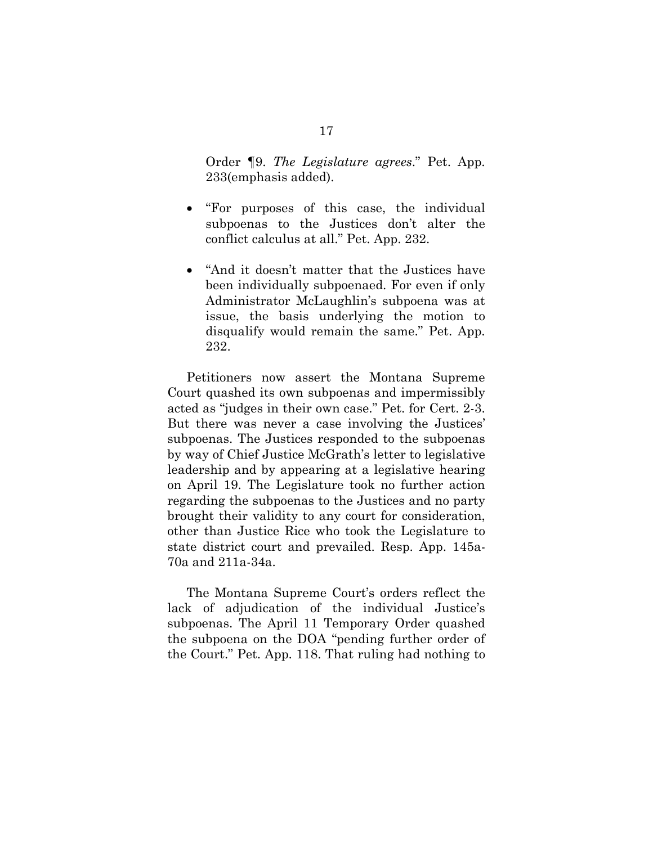Order ¶9. *The Legislature agrees*." Pet. App. 233(emphasis added).

- "For purposes of this case, the individual subpoenas to the Justices don't alter the conflict calculus at all." Pet. App. 232.
- "And it doesn't matter that the Justices have been individually subpoenaed. For even if only Administrator McLaughlin's subpoena was at issue, the basis underlying the motion to disqualify would remain the same." Pet. App. 232.

Petitioners now assert the Montana Supreme Court quashed its own subpoenas and impermissibly acted as "judges in their own case." Pet. for Cert. 2-3. But there was never a case involving the Justices' subpoenas. The Justices responded to the subpoenas by way of Chief Justice McGrath's letter to legislative leadership and by appearing at a legislative hearing on April 19. The Legislature took no further action regarding the subpoenas to the Justices and no party brought their validity to any court for consideration, other than Justice Rice who took the Legislature to state district court and prevailed. Resp. App. 145a-70a and 211a-34a.

The Montana Supreme Court's orders reflect the lack of adjudication of the individual Justice's subpoenas. The April 11 Temporary Order quashed the subpoena on the DOA "pending further order of the Court." Pet. App. 118. That ruling had nothing to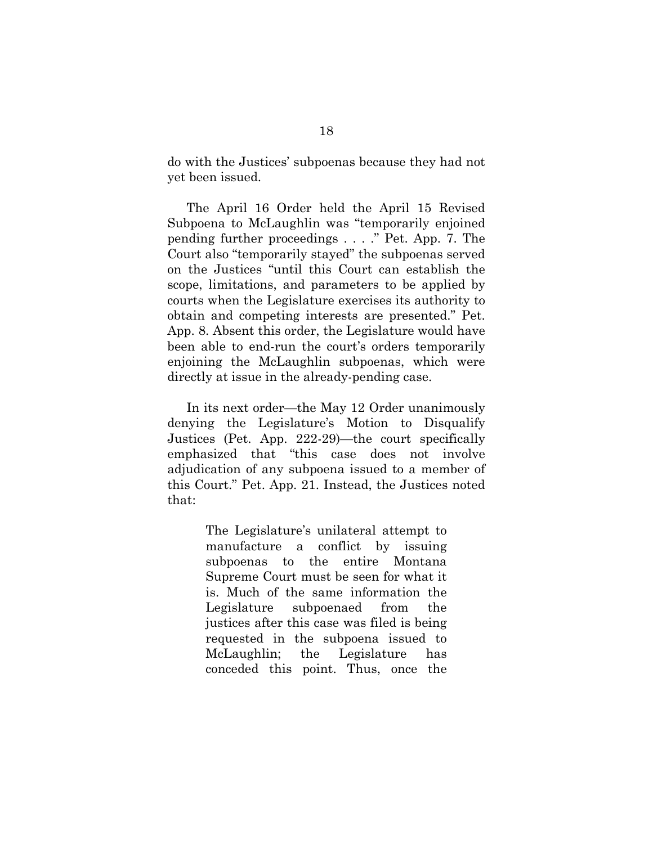do with the Justices' subpoenas because they had not yet been issued.

The April 16 Order held the April 15 Revised Subpoena to McLaughlin was "temporarily enjoined pending further proceedings . . . ." Pet. App. 7. The Court also "temporarily stayed" the subpoenas served on the Justices "until this Court can establish the scope, limitations, and parameters to be applied by courts when the Legislature exercises its authority to obtain and competing interests are presented." Pet. App. 8. Absent this order, the Legislature would have been able to end-run the court's orders temporarily enjoining the McLaughlin subpoenas, which were directly at issue in the already-pending case.

In its next order—the May 12 Order unanimously denying the Legislature's Motion to Disqualify Justices (Pet. App. 222-29)—the court specifically emphasized that "this case does not involve adjudication of any subpoena issued to a member of this Court." Pet. App. 21. Instead, the Justices noted that:

> The Legislature's unilateral attempt to manufacture a conflict by issuing subpoenas to the entire Montana Supreme Court must be seen for what it is. Much of the same information the Legislature subpoenaed from the justices after this case was filed is being requested in the subpoena issued to McLaughlin; the Legislature has conceded this point. Thus, once the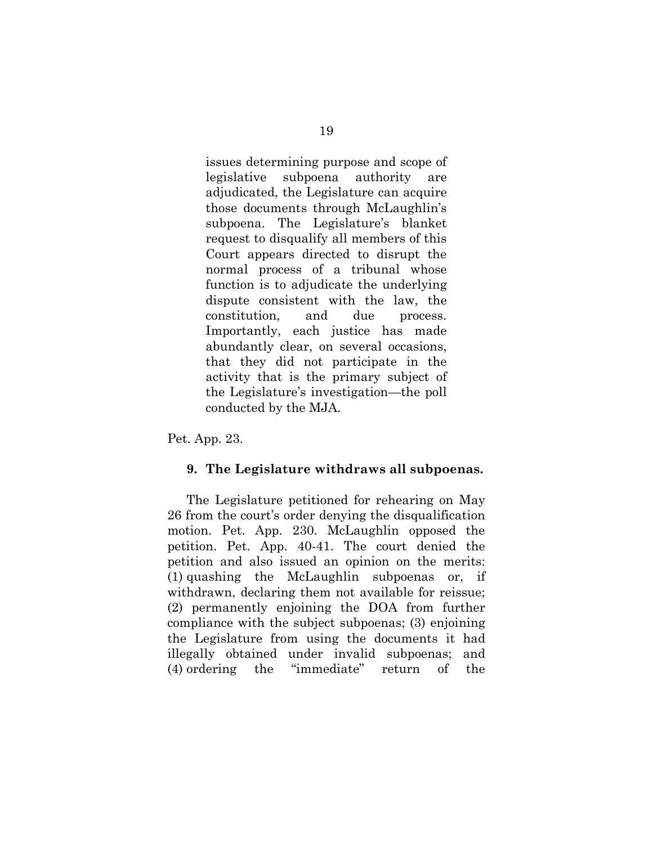issues determining purpose and scope of legislative subpoena authority are adjudicated, the Legislature can acquire those documents through McLaughlin's subpoena. The Legislature's blanket request to disqualify all members of this Court appears directed to disrupt the normal process of a tribunal whose function is to adjudicate the underlying dispute consistent with the law, the constitution, and due process. Importantly, each justice has made abundantly clear, on several occasions, that they did not participate in the activity that is the primary subject of the Legislature's investigation—the poll conducted by the MJA.

Pet. App. 23.

#### **9. The Legislature withdraws all subpoenas.**

The Legislature petitioned for rehearing on May 26 from the court's order denying the disqualification motion. Pet. App. 230. McLaughlin opposed the petition. Pet. App. 40-41. The court denied the petition and also issued an opinion on the merits: (1) quashing the McLaughlin subpoenas or, if withdrawn, declaring them not available for reissue; (2) permanently enjoining the DOA from further compliance with the subject subpoenas; (3) enjoining the Legislature from using the documents it had illegally obtained under invalid subpoenas; and (4) ordering the "immediate" return of the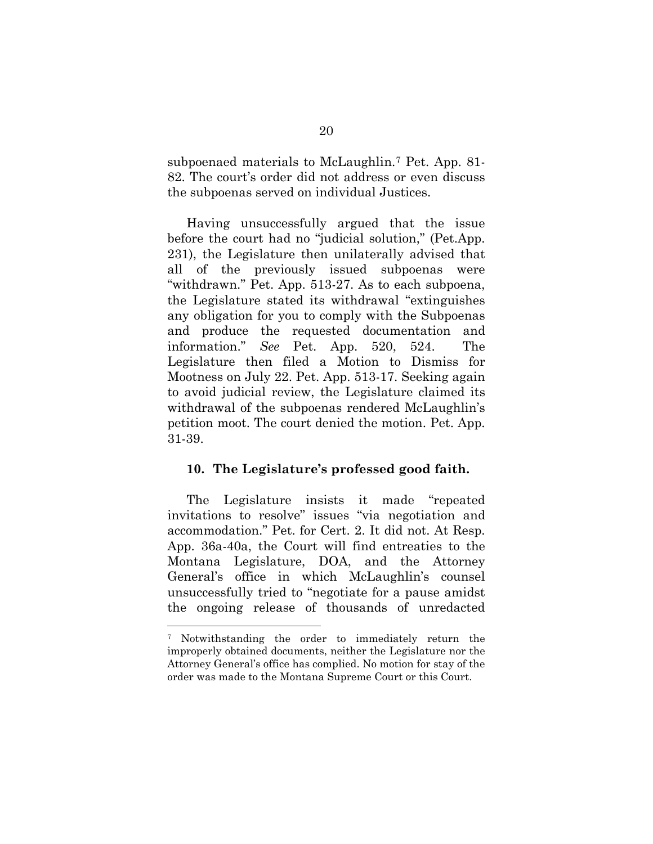subpoenaed materials to McLaughlin.[7](#page-32-0) Pet. App. 81- 82. The court's order did not address or even discuss the subpoenas served on individual Justices.

Having unsuccessfully argued that the issue before the court had no "judicial solution," (Pet.App. 231), the Legislature then unilaterally advised that all of the previously issued subpoenas were "withdrawn." Pet. App. 513-27. As to each subpoena, the Legislature stated its withdrawal "extinguishes any obligation for you to comply with the Subpoenas and produce the requested documentation and information." *See* Pet. App. 520, 524. The Legislature then filed a Motion to Dismiss for Mootness on July 22. Pet. App. 513-17. Seeking again to avoid judicial review, the Legislature claimed its withdrawal of the subpoenas rendered McLaughlin's petition moot. The court denied the motion. Pet. App. 31-39.

#### **10. The Legislature's professed good faith.**

The Legislature insists it made "repeated invitations to resolve" issues "via negotiation and accommodation." Pet. for Cert. 2. It did not. At Resp. App. 36a-40a, the Court will find entreaties to the Montana Legislature, DOA, and the Attorney General's office in which McLaughlin's counsel unsuccessfully tried to "negotiate for a pause amidst the ongoing release of thousands of unredacted

<span id="page-32-0"></span><sup>7</sup> Notwithstanding the order to immediately return the improperly obtained documents, neither the Legislature nor the Attorney General's office has complied. No motion for stay of the order was made to the Montana Supreme Court or this Court.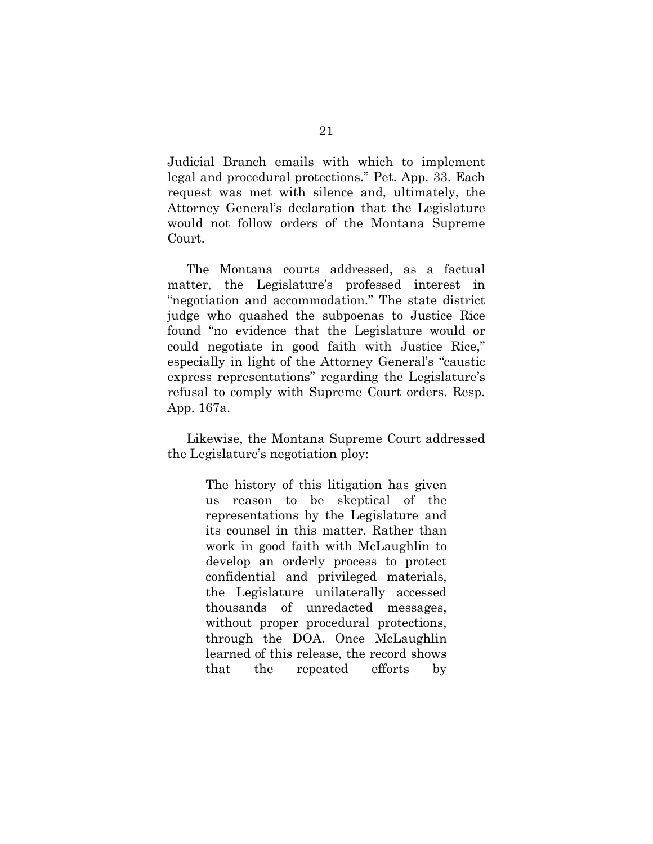Judicial Branch emails with which to implement legal and procedural protections." Pet. App. 33. Each request was met with silence and, ultimately, the Attorney General's declaration that the Legislature would not follow orders of the Montana Supreme Court.

The Montana courts addressed, as a factual matter, the Legislature's professed interest in "negotiation and accommodation." The state district judge who quashed the subpoenas to Justice Rice found "no evidence that the Legislature would or could negotiate in good faith with Justice Rice," especially in light of the Attorney General's "caustic express representations" regarding the Legislature's refusal to comply with Supreme Court orders. Resp. App. 167a.

Likewise, the Montana Supreme Court addressed the Legislature's negotiation ploy:

> The history of this litigation has given us reason to be skeptical of the representations by the Legislature and its counsel in this matter. Rather than work in good faith with McLaughlin to develop an orderly process to protect confidential and privileged materials, the Legislature unilaterally accessed thousands of unredacted messages, without proper procedural protections, through the DOA. Once McLaughlin learned of this release, the record shows that the repeated efforts by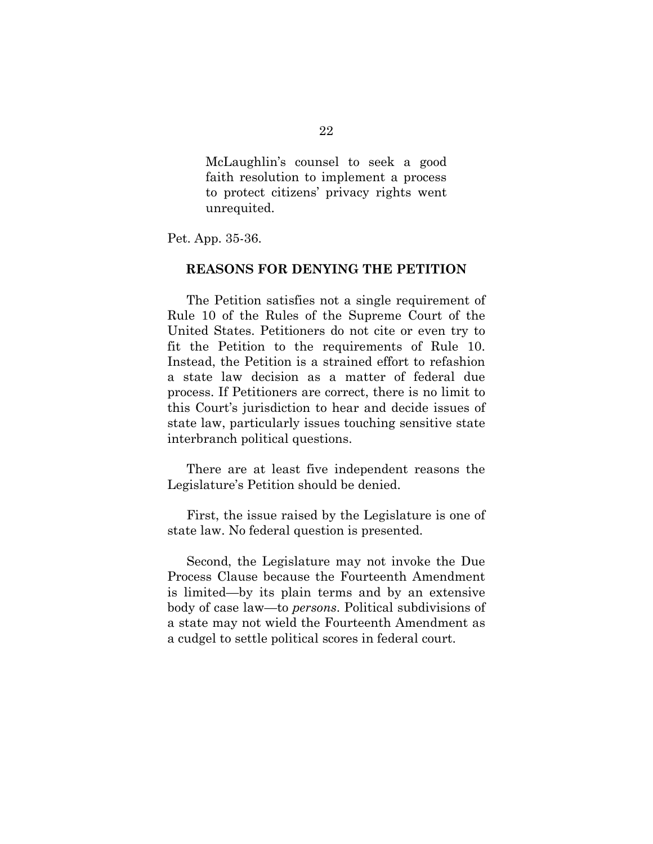McLaughlin's counsel to seek a good faith resolution to implement a process to protect citizens' privacy rights went unrequited.

Pet. App. 35-36.

#### **REASONS FOR DENYING THE PETITION**

The Petition satisfies not a single requirement of Rule 10 of the Rules of the Supreme Court of the United States. Petitioners do not cite or even try to fit the Petition to the requirements of Rule 10. Instead, the Petition is a strained effort to refashion a state law decision as a matter of federal due process. If Petitioners are correct, there is no limit to this Court's jurisdiction to hear and decide issues of state law, particularly issues touching sensitive state interbranch political questions.

There are at least five independent reasons the Legislature's Petition should be denied.

First, the issue raised by the Legislature is one of state law. No federal question is presented.

Second, the Legislature may not invoke the Due Process Clause because the Fourteenth Amendment is limited—by its plain terms and by an extensive body of case law—to *persons*. Political subdivisions of a state may not wield the Fourteenth Amendment as a cudgel to settle political scores in federal court.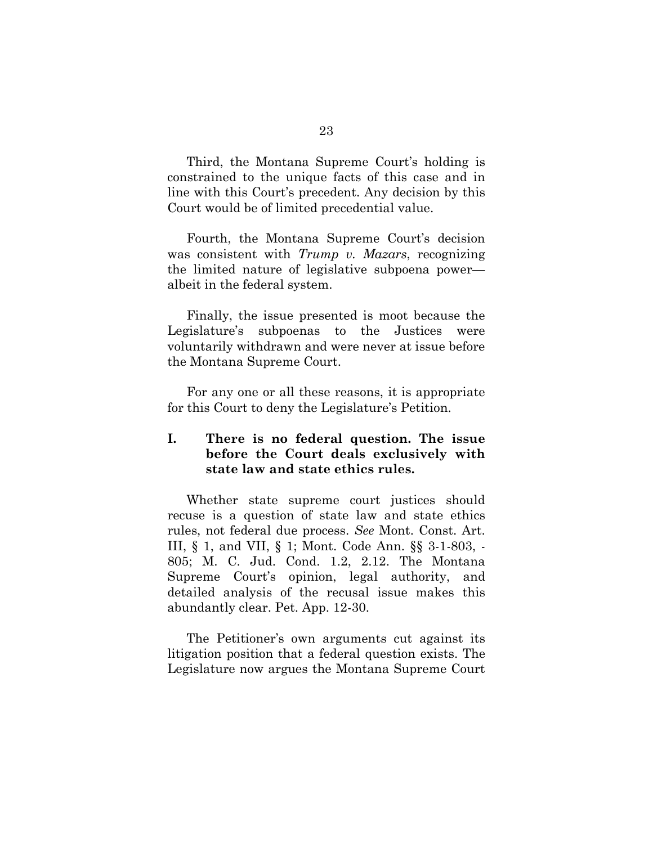Third, the Montana Supreme Court's holding is constrained to the unique facts of this case and in line with this Court's precedent. Any decision by this Court would be of limited precedential value.

Fourth, the Montana Supreme Court's decision was consistent with *Trump v. Mazars*, recognizing the limited nature of legislative subpoena power albeit in the federal system.

Finally, the issue presented is moot because the Legislature's subpoenas to the Justices were voluntarily withdrawn and were never at issue before the Montana Supreme Court.

For any one or all these reasons, it is appropriate for this Court to deny the Legislature's Petition.

## **I. There is no federal question. The issue before the Court deals exclusively with state law and state ethics rules.**

Whether state supreme court justices should recuse is a question of state law and state ethics rules, not federal due process. *See* Mont. Const. Art. III, § 1, and VII, § 1; Mont. Code Ann. §§ 3-1-803, - 805; M. C. Jud. Cond. 1.2, 2.12. The Montana Supreme Court's opinion, legal authority, and detailed analysis of the recusal issue makes this abundantly clear. Pet. App. 12-30.

The Petitioner's own arguments cut against its litigation position that a federal question exists. The Legislature now argues the Montana Supreme Court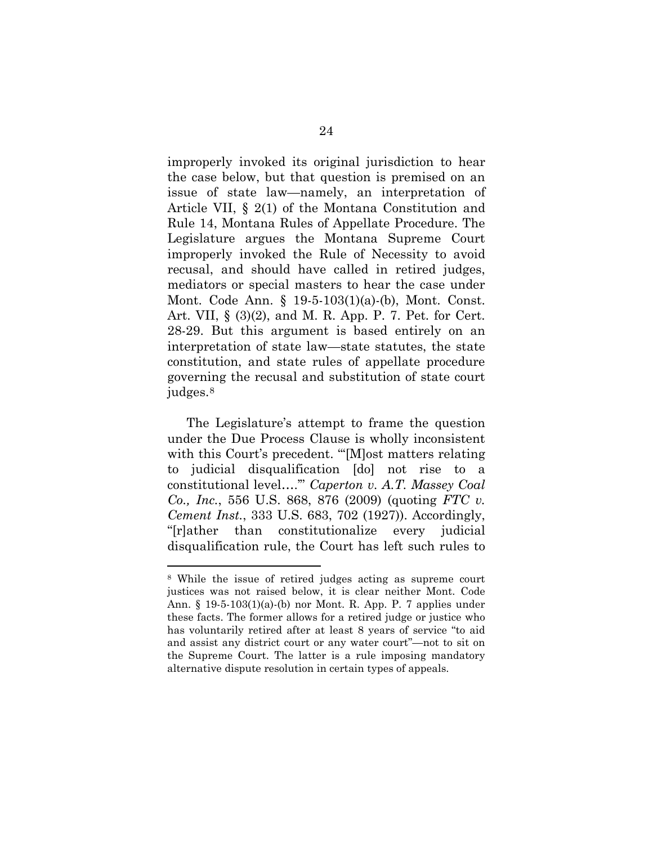improperly invoked its original jurisdiction to hear the case below, but that question is premised on an issue of state law—namely, an interpretation of Article VII, § 2(1) of the Montana Constitution and Rule 14, Montana Rules of Appellate Procedure. The Legislature argues the Montana Supreme Court improperly invoked the Rule of Necessity to avoid recusal, and should have called in retired judges, mediators or special masters to hear the case under Mont. Code Ann. § 19-5-103(1)(a)-(b), Mont. Const. Art. VII, § (3)(2), and M. R. App. P. 7. Pet. for Cert. 28-29. But this argument is based entirely on an interpretation of state law—state statutes, the state constitution, and state rules of appellate procedure governing the recusal and substitution of state court judges.[8](#page-36-0)

The Legislature's attempt to frame the question under the Due Process Clause is wholly inconsistent with this Court's precedent. "'[M]ost matters relating to judicial disqualification [do] not rise to a constitutional level….'" *Caperton v. A.T. Massey Coal Co., Inc.*, 556 U.S. 868, 876 (2009) (quoting *FTC v. Cement Inst.*, 333 U.S. 683, 702 (1927)). Accordingly, "[r]ather than constitutionalize every judicial disqualification rule, the Court has left such rules to

<span id="page-36-0"></span><sup>8</sup> While the issue of retired judges acting as supreme court justices was not raised below, it is clear neither Mont. Code Ann. § 19-5-103(1)(a)-(b) nor Mont. R. App. P. 7 applies under these facts. The former allows for a retired judge or justice who has voluntarily retired after at least 8 years of service "to aid and assist any district court or any water court"—not to sit on the Supreme Court. The latter is a rule imposing mandatory alternative dispute resolution in certain types of appeals.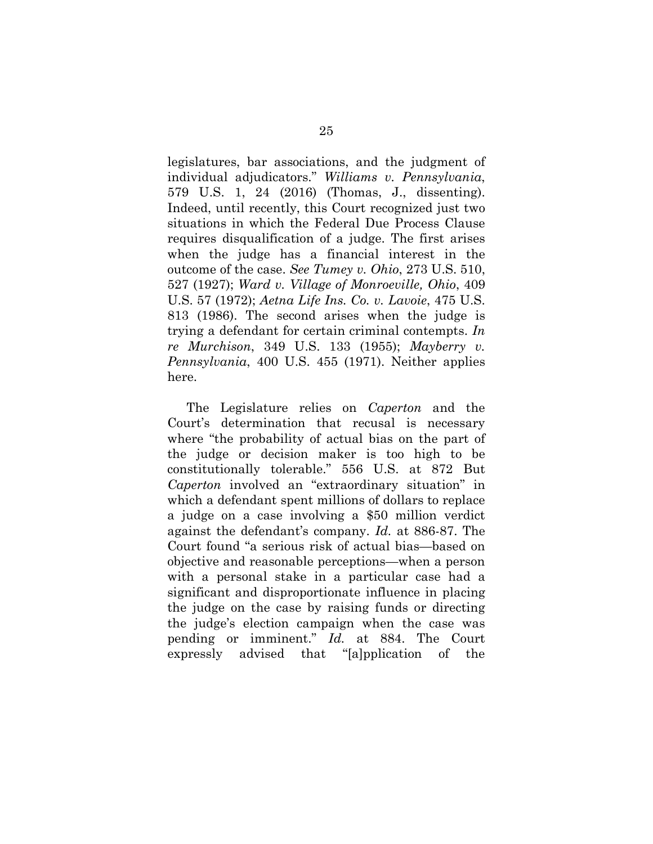legislatures, bar associations, and the judgment of individual adjudicators." *Williams v. Pennsylvania*, 579 U.S. 1, 24 (2016) (Thomas, J., dissenting). Indeed, until recently, this Court recognized just two situations in which the Federal Due Process Clause requires disqualification of a judge. The first arises when the judge has a financial interest in the outcome of the case. *See Tumey v. Ohio*, 273 U.S. 510, 527 (1927); *Ward v. Village of Monroeville, Ohio*, 409 U.S. 57 (1972); *Aetna Life Ins. Co. v. Lavoie*, 475 U.S. 813 (1986). The second arises when the judge is trying a defendant for certain criminal contempts. *In re Murchison*, 349 U.S. 133 (1955); *Mayberry v. Pennsylvania*, 400 U.S. 455 (1971). Neither applies here.

The Legislature relies on *Caperton* and the Court's determination that recusal is necessary where "the probability of actual bias on the part of the judge or decision maker is too high to be constitutionally tolerable." 556 U.S. at 872 But *Caperton* involved an "extraordinary situation" in which a defendant spent millions of dollars to replace a judge on a case involving a \$50 million verdict against the defendant's company. *Id.* at 886-87. The Court found "a serious risk of actual bias—based on objective and reasonable perceptions—when a person with a personal stake in a particular case had a significant and disproportionate influence in placing the judge on the case by raising funds or directing the judge's election campaign when the case was pending or imminent." *Id.* at 884. The Court expressly advised that "[a]pplication of the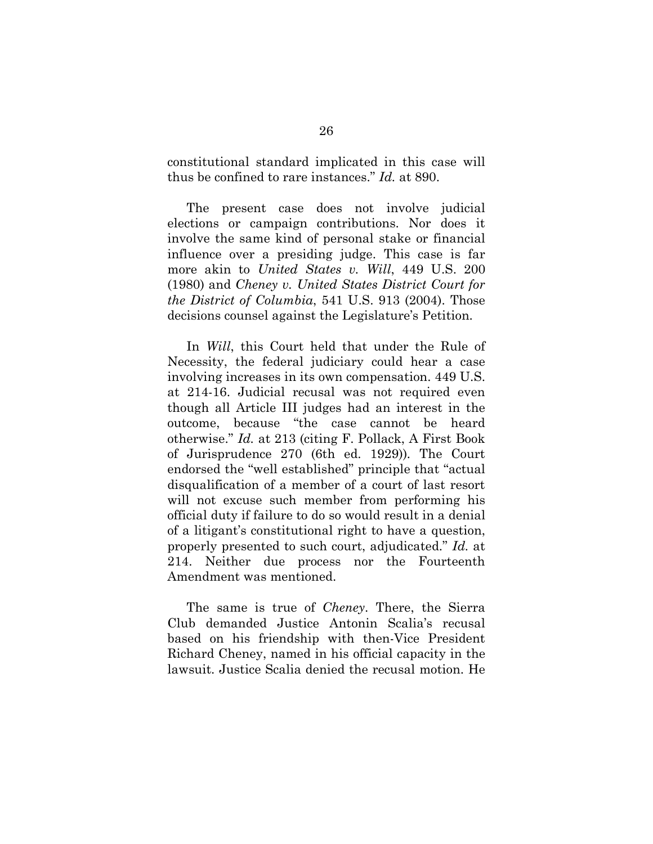constitutional standard implicated in this case will thus be confined to rare instances." *Id.* at 890.

The present case does not involve judicial elections or campaign contributions. Nor does it involve the same kind of personal stake or financial influence over a presiding judge. This case is far more akin to *United States v. Will*, 449 U.S. 200 (1980) and *Cheney v. United States District Court for the District of Columbia*, 541 U.S. 913 (2004). Those decisions counsel against the Legislature's Petition.

In *Will*, this Court held that under the Rule of Necessity, the federal judiciary could hear a case involving increases in its own compensation. 449 U.S. at 214-16. Judicial recusal was not required even though all Article III judges had an interest in the outcome, because "the case cannot be heard otherwise." *Id.* at 213 (citing F. Pollack, A First Book of Jurisprudence 270 (6th ed. 1929))*.* The Court endorsed the "well established" principle that "actual disqualification of a member of a court of last resort will not excuse such member from performing his official duty if failure to do so would result in a denial of a litigant's constitutional right to have a question, properly presented to such court, adjudicated." *Id.* at 214. Neither due process nor the Fourteenth Amendment was mentioned.

The same is true of *Cheney*. There, the Sierra Club demanded Justice Antonin Scalia's recusal based on his friendship with then-Vice President Richard Cheney, named in his official capacity in the lawsuit. Justice Scalia denied the recusal motion. He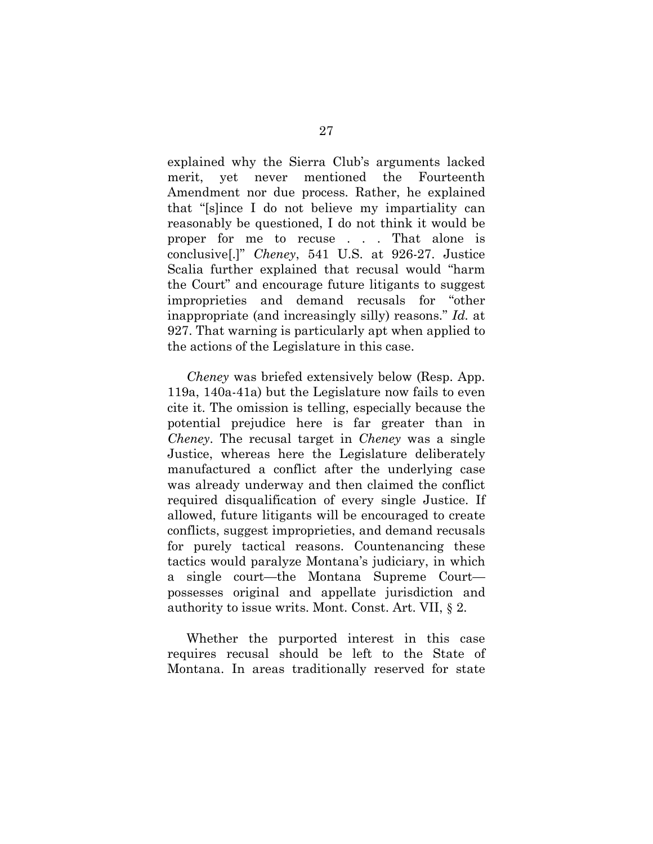explained why the Sierra Club's arguments lacked merit, yet never mentioned the Fourteenth Amendment nor due process. Rather, he explained that "[s]ince I do not believe my impartiality can reasonably be questioned, I do not think it would be proper for me to recuse . . . That alone is conclusive[.]" *Cheney*, 541 U.S. at 926-27. Justice Scalia further explained that recusal would "harm the Court" and encourage future litigants to suggest improprieties and demand recusals for "other inappropriate (and increasingly silly) reasons." *Id.* at 927. That warning is particularly apt when applied to the actions of the Legislature in this case.

*Cheney* was briefed extensively below (Resp. App. 119a, 140a-41a) but the Legislature now fails to even cite it. The omission is telling, especially because the potential prejudice here is far greater than in *Cheney*. The recusal target in *Cheney* was a single Justice, whereas here the Legislature deliberately manufactured a conflict after the underlying case was already underway and then claimed the conflict required disqualification of every single Justice. If allowed, future litigants will be encouraged to create conflicts, suggest improprieties, and demand recusals for purely tactical reasons. Countenancing these tactics would paralyze Montana's judiciary, in which a single court—the Montana Supreme Court possesses original and appellate jurisdiction and authority to issue writs. Mont. Const. Art. VII, § 2.

Whether the purported interest in this case requires recusal should be left to the State of Montana. In areas traditionally reserved for state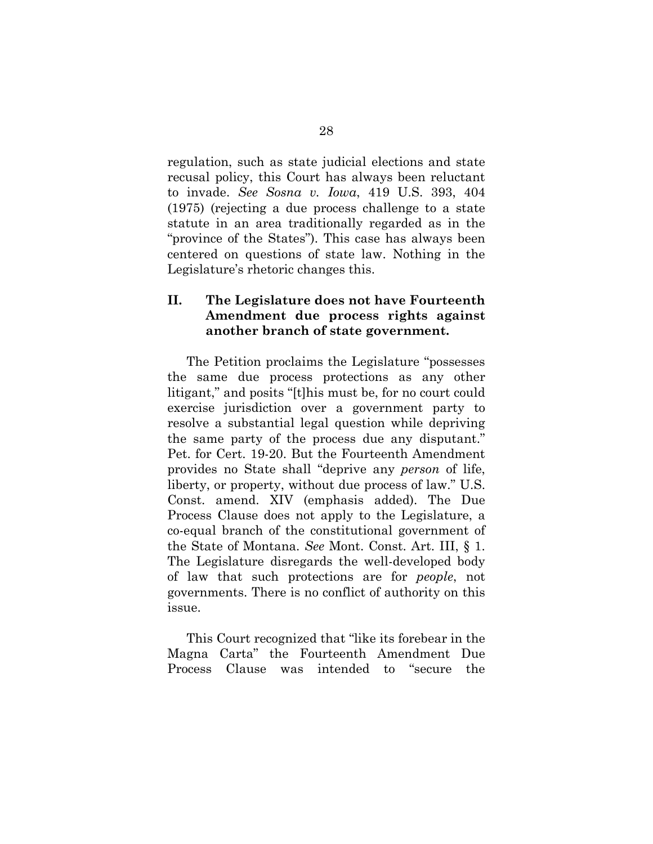regulation, such as state judicial elections and state recusal policy, this Court has always been reluctant to invade. *See Sosna v. Iowa*, 419 U.S. 393, 404 (1975) (rejecting a due process challenge to a state statute in an area traditionally regarded as in the "province of the States"). This case has always been centered on questions of state law. Nothing in the Legislature's rhetoric changes this.

## **II. The Legislature does not have Fourteenth Amendment due process rights against another branch of state government.**

The Petition proclaims the Legislature "possesses the same due process protections as any other litigant," and posits "[t]his must be, for no court could exercise jurisdiction over a government party to resolve a substantial legal question while depriving the same party of the process due any disputant." Pet. for Cert. 19-20. But the Fourteenth Amendment provides no State shall "deprive any *person* of life, liberty, or property, without due process of law." U.S. Const. amend. XIV (emphasis added). The Due Process Clause does not apply to the Legislature, a co-equal branch of the constitutional government of the State of Montana. *See* Mont. Const. Art. III, § 1. The Legislature disregards the well-developed body of law that such protections are for *people*, not governments. There is no conflict of authority on this issue.

This Court recognized that "like its forebear in the Magna Carta" the Fourteenth Amendment Due Process Clause was intended to "secure the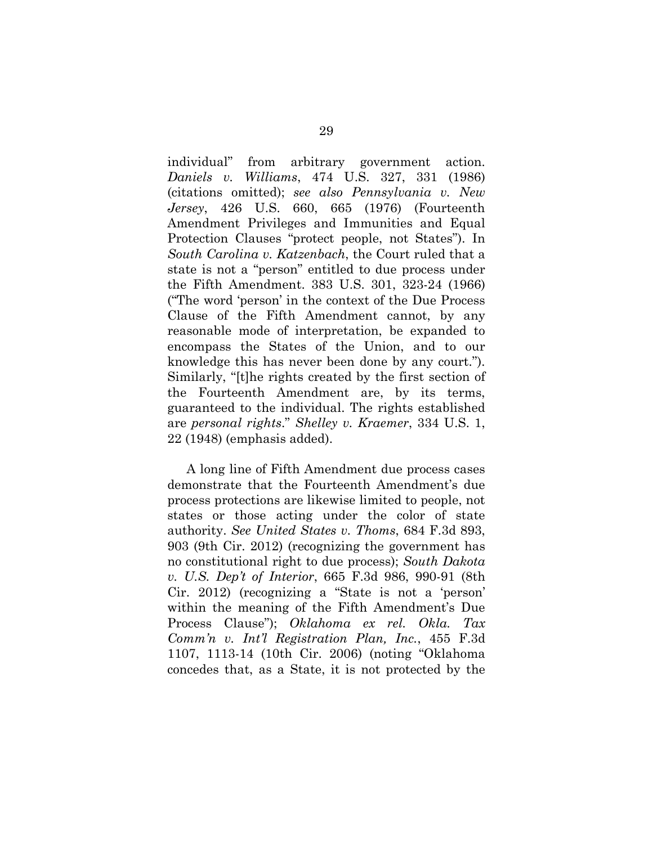individual" from arbitrary government action. *Daniels v. Williams*, 474 U.S. 327, 331 (1986) (citations omitted); *see also Pennsylvania v. New Jersey*, 426 U.S. 660, 665 (1976) (Fourteenth Amendment Privileges and Immunities and Equal Protection Clauses "protect people, not States"). In *South Carolina v. Katzenbach*, the Court ruled that a state is not a "person" entitled to due process under the Fifth Amendment. 383 U.S. 301, 323-24 (1966) ("The word 'person' in the context of the Due Process Clause of the Fifth Amendment cannot, by any reasonable mode of interpretation, be expanded to encompass the States of the Union, and to our knowledge this has never been done by any court."). Similarly, "[t]he rights created by the first section of the Fourteenth Amendment are, by its terms, guaranteed to the individual. The rights established are *personal rights*." *Shelley v. Kraemer*, 334 U.S. 1, 22 (1948) (emphasis added).

A long line of Fifth Amendment due process cases demonstrate that the Fourteenth Amendment's due process protections are likewise limited to people, not states or those acting under the color of state authority. *See United States v. Thoms*, 684 F.3d 893, 903 (9th Cir. 2012) (recognizing the government has no constitutional right to due process); *South Dakota v. U.S. Dep't of Interior*, 665 F.3d 986, 990-91 (8th Cir. 2012) (recognizing a "State is not a 'person' within the meaning of the Fifth Amendment's Due Process Clause"); *Oklahoma ex rel. Okla. Tax Comm'n v. Int'l Registration Plan, Inc.*, 455 F.3d 1107, 1113-14 (10th Cir. 2006) (noting "Oklahoma concedes that, as a State, it is not protected by the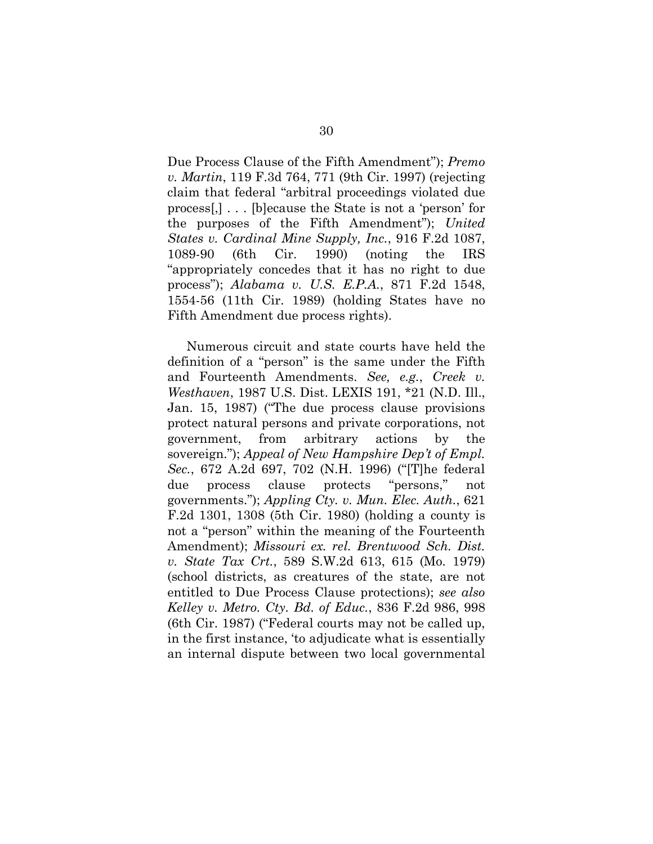Due Process Clause of the Fifth Amendment"); *Premo v. Martin*, 119 F.3d 764, 771 (9th Cir. 1997) (rejecting claim that federal "arbitral proceedings violated due process[,] . . . [b]ecause the State is not a 'person' for the purposes of the Fifth Amendment"); *United States v. Cardinal Mine Supply, Inc.*, 916 F.2d 1087, 1089-90 (6th Cir. 1990) (noting the IRS "appropriately concedes that it has no right to due process"); *Alabama v. U.S. E.P.A.*, 871 F.2d 1548, 1554-56 (11th Cir. 1989) (holding States have no Fifth Amendment due process rights).

Numerous circuit and state courts have held the definition of a "person" is the same under the Fifth and Fourteenth Amendments. *See, e.g.*, *Creek v. Westhaven*, 1987 U.S. Dist. LEXIS 191, \*21 (N.D. Ill., Jan. 15, 1987) ("The due process clause provisions protect natural persons and private corporations, not government, from arbitrary actions by the sovereign."); *Appeal of New Hampshire Dep't of Empl. Sec.*, 672 A.2d 697, 702 (N.H. 1996) ("[T]he federal due process clause protects "persons," not governments."); *Appling Cty. v. Mun. Elec. Auth.*, 621 F.2d 1301, 1308 (5th Cir. 1980) (holding a county is not a "person" within the meaning of the Fourteenth Amendment); *Missouri ex. rel. Brentwood Sch. Dist. v. State Tax Crt.*, 589 S.W.2d 613, 615 (Mo. 1979) (school districts, as creatures of the state, are not entitled to Due Process Clause protections); *see also Kelley v. Metro. Cty. Bd. of Educ.*, 836 F.2d 986, 998 (6th Cir. 1987) ("Federal courts may not be called up, in the first instance, 'to adjudicate what is essentially an internal dispute between two local governmental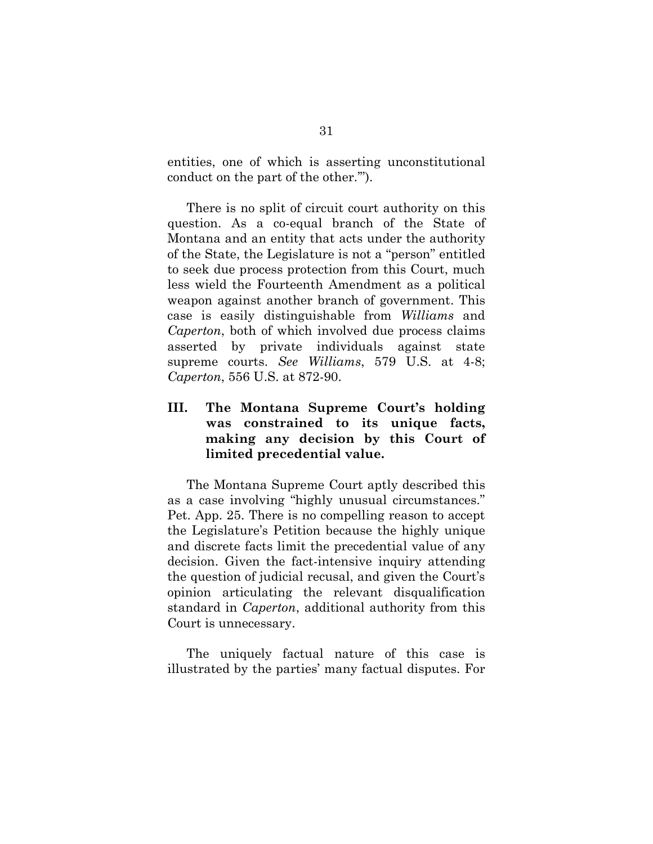entities, one of which is asserting unconstitutional conduct on the part of the other.'").

There is no split of circuit court authority on this question. As a co-equal branch of the State of Montana and an entity that acts under the authority of the State, the Legislature is not a "person" entitled to seek due process protection from this Court, much less wield the Fourteenth Amendment as a political weapon against another branch of government. This case is easily distinguishable from *Williams* and *Caperton*, both of which involved due process claims asserted by private individuals against state supreme courts. *See Williams*, 579 U.S. at 4-8; *Caperton*, 556 U.S. at 872-90.

### **III. The Montana Supreme Court's holding was constrained to its unique facts, making any decision by this Court of limited precedential value.**

The Montana Supreme Court aptly described this as a case involving "highly unusual circumstances." Pet. App. 25. There is no compelling reason to accept the Legislature's Petition because the highly unique and discrete facts limit the precedential value of any decision. Given the fact-intensive inquiry attending the question of judicial recusal, and given the Court's opinion articulating the relevant disqualification standard in *Caperton*, additional authority from this Court is unnecessary.

The uniquely factual nature of this case is illustrated by the parties' many factual disputes. For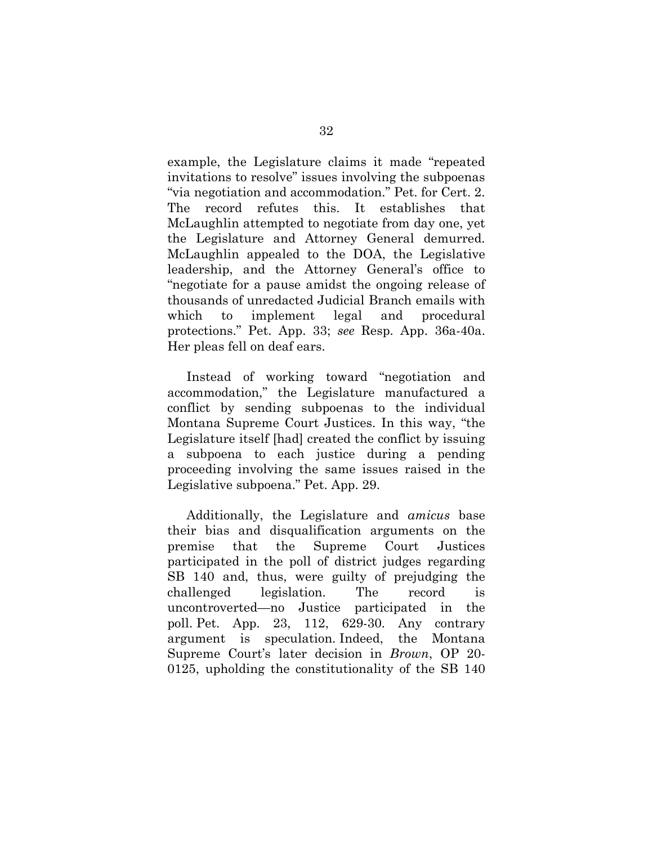example, the Legislature claims it made "repeated invitations to resolve" issues involving the subpoenas "via negotiation and accommodation." Pet. for Cert. 2. The record refutes this. It establishes that McLaughlin attempted to negotiate from day one, yet the Legislature and Attorney General demurred. McLaughlin appealed to the DOA, the Legislative leadership, and the Attorney General's office to "negotiate for a pause amidst the ongoing release of thousands of unredacted Judicial Branch emails with which to implement legal and procedural protections." Pet. App. 33; *see* Resp. App. 36a-40a. Her pleas fell on deaf ears.

Instead of working toward "negotiation and accommodation," the Legislature manufactured a conflict by sending subpoenas to the individual Montana Supreme Court Justices. In this way, "the Legislature itself [had] created the conflict by issuing a subpoena to each justice during a pending proceeding involving the same issues raised in the Legislative subpoena." Pet. App. 29.

Additionally, the Legislature and *amicus* base their bias and disqualification arguments on the premise that the Supreme Court Justices participated in the poll of district judges regarding SB 140 and, thus, were guilty of prejudging the challenged legislation. The record is uncontroverted—no Justice participated in the poll. Pet. App. 23, 112, 629-30. Any contrary argument is speculation. Indeed, the Montana Supreme Court's later decision in *Brown*, OP 20- 0125, upholding the constitutionality of the SB 140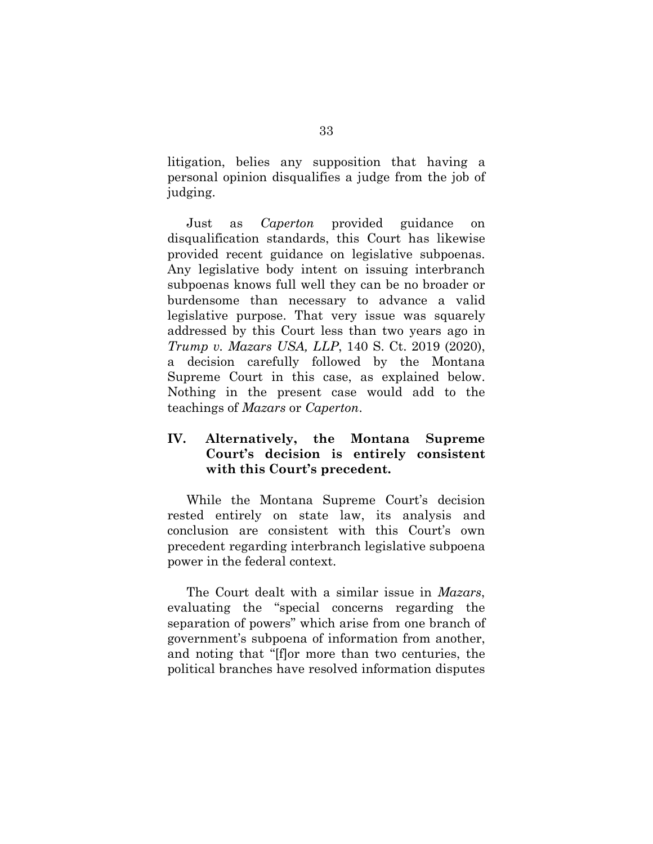litigation, belies any supposition that having a personal opinion disqualifies a judge from the job of judging.

Just as *Caperton* provided guidance on disqualification standards, this Court has likewise provided recent guidance on legislative subpoenas. Any legislative body intent on issuing interbranch subpoenas knows full well they can be no broader or burdensome than necessary to advance a valid legislative purpose. That very issue was squarely addressed by this Court less than two years ago in *Trump v. Mazars USA, LLP*, 140 S. Ct. 2019 (2020), a decision carefully followed by the Montana Supreme Court in this case, as explained below. Nothing in the present case would add to the teachings of *Mazars* or *Caperton*.

# **IV. Alternatively, the Montana Supreme Court's decision is entirely consistent with this Court's precedent.**

While the Montana Supreme Court's decision rested entirely on state law, its analysis and conclusion are consistent with this Court's own precedent regarding interbranch legislative subpoena power in the federal context.

The Court dealt with a similar issue in *Mazars*, evaluating the "special concerns regarding the separation of powers" which arise from one branch of government's subpoena of information from another, and noting that "[f]or more than two centuries, the political branches have resolved information disputes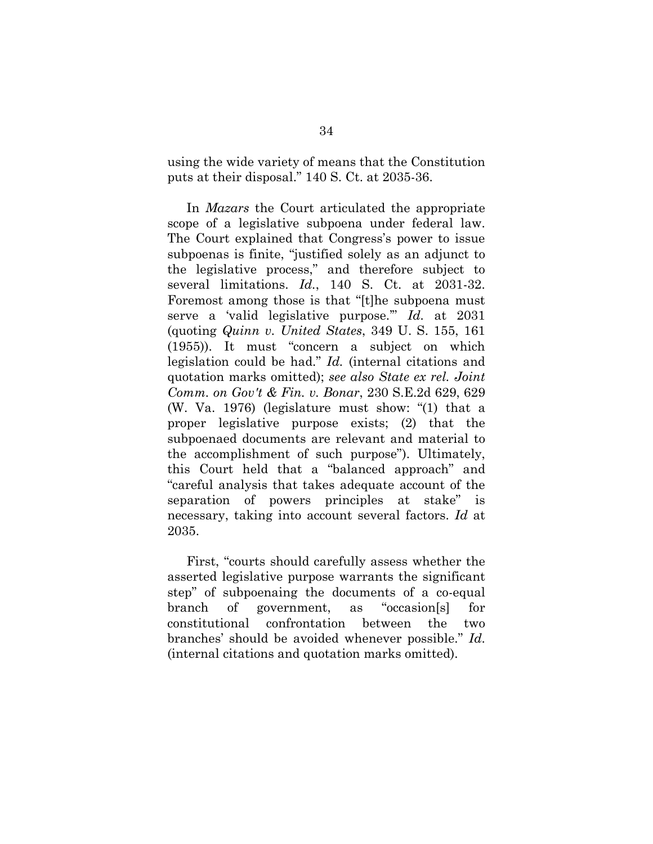using the wide variety of means that the Constitution puts at their disposal." 140 S. Ct. at 2035-36.

In *Mazars* the Court articulated the appropriate scope of a legislative subpoena under federal law. The Court explained that Congress's power to issue subpoenas is finite, "justified solely as an adjunct to the legislative process," and therefore subject to several limitations. *Id.*, 140 S. Ct. at 2031-32. Foremost among those is that "[t]he subpoena must serve a 'valid legislative purpose.'" *Id.* at 2031 (quoting *Quinn v. United States*, 349 U. S. 155, 161 (1955)). It must "concern a subject on which legislation could be had." *Id.* (internal citations and quotation marks omitted); *see also State ex rel. Joint Comm. on Gov't & Fin. v. Bonar*, 230 S.E.2d 629, 629 (W. Va. 1976) (legislature must show: "(1) that a proper legislative purpose exists; (2) that the subpoenaed documents are relevant and material to the accomplishment of such purpose"). Ultimately, this Court held that a "balanced approach" and "careful analysis that takes adequate account of the separation of powers principles at stake" is necessary, taking into account several factors. *Id* at 2035.

First, "courts should carefully assess whether the asserted legislative purpose warrants the significant step" of subpoenaing the documents of a co-equal branch of government, as "occasion[s] for constitutional confrontation between the two branches' should be avoided whenever possible." *Id*. (internal citations and quotation marks omitted).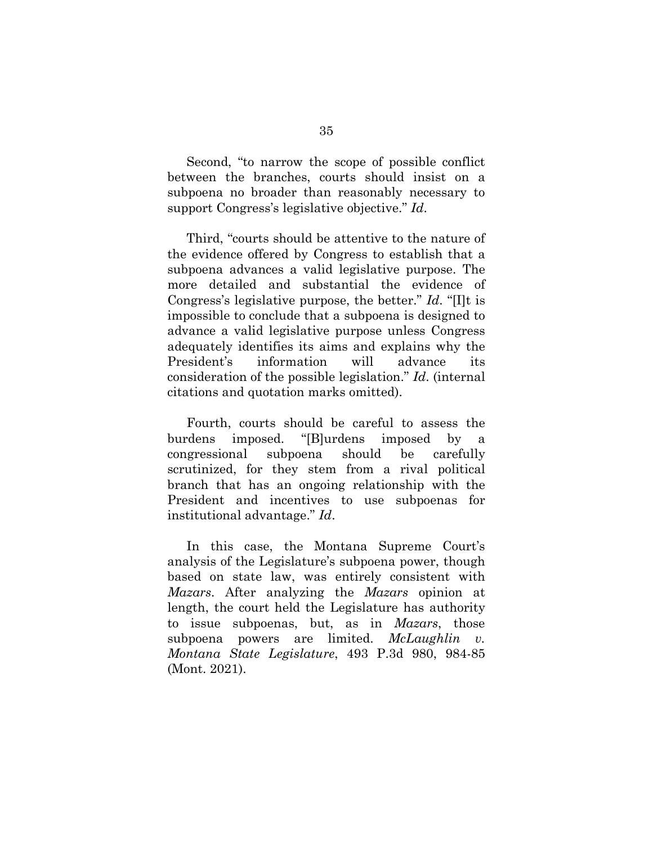Second, "to narrow the scope of possible conflict between the branches, courts should insist on a subpoena no broader than reasonably necessary to support Congress's legislative objective." *Id*.

Third, "courts should be attentive to the nature of the evidence offered by Congress to establish that a subpoena advances a valid legislative purpose. The more detailed and substantial the evidence of Congress's legislative purpose, the better." *Id*. "[I]t is impossible to conclude that a subpoena is designed to advance a valid legislative purpose unless Congress adequately identifies its aims and explains why the President's information will advance its consideration of the possible legislation." *Id*. (internal citations and quotation marks omitted).

Fourth, courts should be careful to assess the burdens imposed. "[B]urdens imposed by a congressional subpoena should be carefully scrutinized, for they stem from a rival political branch that has an ongoing relationship with the President and incentives to use subpoenas for institutional advantage." *Id*.

In this case, the Montana Supreme Court's analysis of the Legislature's subpoena power, though based on state law, was entirely consistent with *Mazars*. After analyzing the *Mazars* opinion at length, the court held the Legislature has authority to issue subpoenas, but, as in *Mazars*, those subpoena powers are limited. *McLaughlin v. Montana State Legislature*, 493 P.3d 980, 984-85 (Mont. 2021).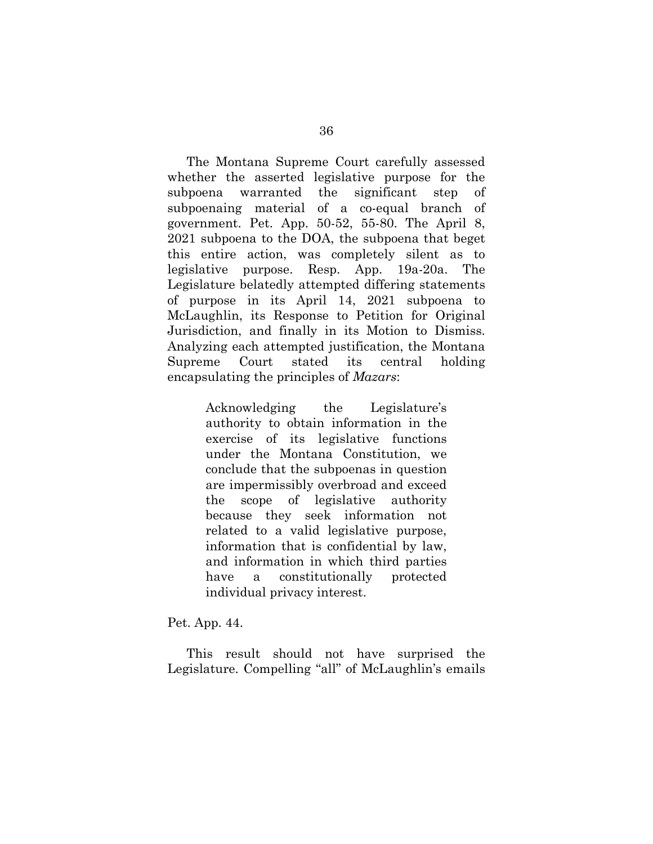The Montana Supreme Court carefully assessed whether the asserted legislative purpose for the subpoena warranted the significant step of subpoenaing material of a co-equal branch of government. Pet. App. 50-52, 55-80. The April 8, 2021 subpoena to the DOA, the subpoena that beget this entire action, was completely silent as to legislative purpose. Resp. App. 19a-20a. The Legislature belatedly attempted differing statements of purpose in its April 14, 2021 subpoena to McLaughlin, its Response to Petition for Original Jurisdiction, and finally in its Motion to Dismiss. Analyzing each attempted justification, the Montana Supreme Court stated its central holding encapsulating the principles of *Mazars*:

> Acknowledging the Legislature's authority to obtain information in the exercise of its legislative functions under the Montana Constitution, we conclude that the subpoenas in question are impermissibly overbroad and exceed the scope of legislative authority because they seek information not related to a valid legislative purpose, information that is confidential by law, and information in which third parties have a constitutionally protected individual privacy interest.

Pet. App. 44.

This result should not have surprised the Legislature. Compelling "all" of McLaughlin's emails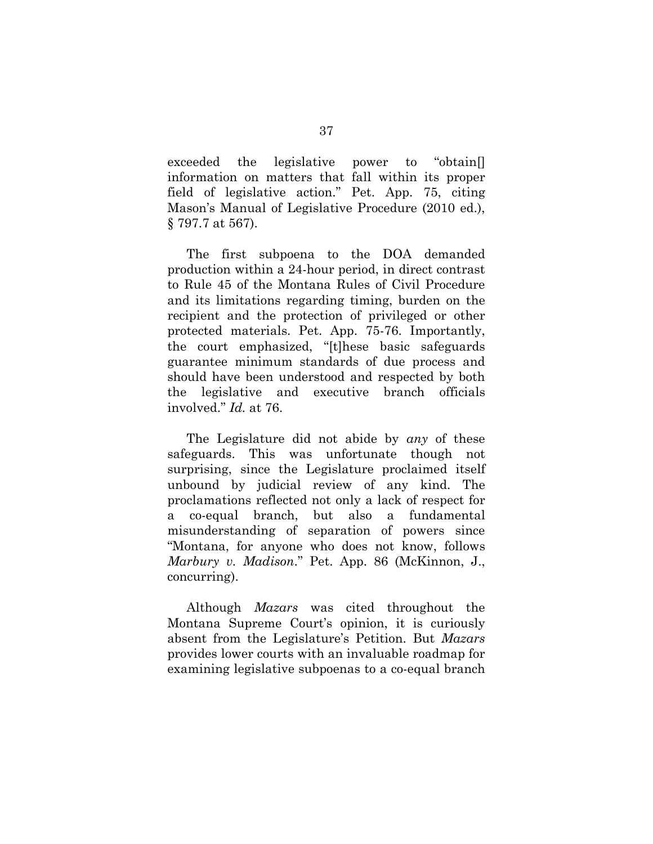exceeded the legislative power to "obtain[] information on matters that fall within its proper field of legislative action." Pet. App. 75, citing Mason's Manual of Legislative Procedure (2010 ed.), § 797.7 at 567).

The first subpoena to the DOA demanded production within a 24-hour period, in direct contrast to Rule 45 of the Montana Rules of Civil Procedure and its limitations regarding timing, burden on the recipient and the protection of privileged or other protected materials. Pet. App. 75-76. Importantly, the court emphasized, "[t]hese basic safeguards guarantee minimum standards of due process and should have been understood and respected by both the legislative and executive branch officials involved." *Id.* at 76.

The Legislature did not abide by *any* of these safeguards. This was unfortunate though not surprising, since the Legislature proclaimed itself unbound by judicial review of any kind. The proclamations reflected not only a lack of respect for a co-equal branch, but also a fundamental misunderstanding of separation of powers since "Montana, for anyone who does not know, follows *Marbury v. Madison*." Pet. App. 86 (McKinnon, J., concurring).

Although *Mazars* was cited throughout the Montana Supreme Court's opinion, it is curiously absent from the Legislature's Petition. But *Mazars* provides lower courts with an invaluable roadmap for examining legislative subpoenas to a co-equal branch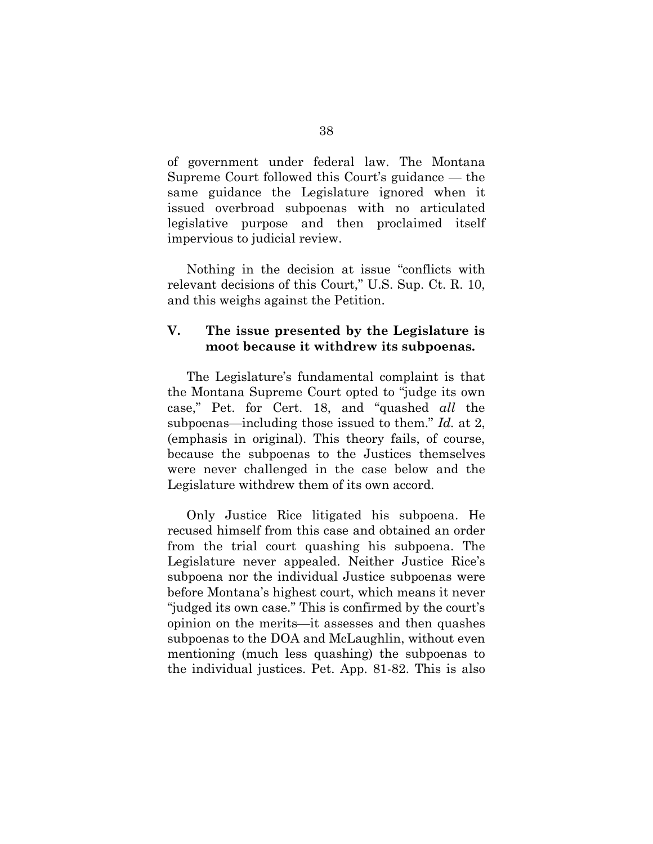of government under federal law. The Montana Supreme Court followed this Court's guidance — the same guidance the Legislature ignored when it issued overbroad subpoenas with no articulated legislative purpose and then proclaimed itself impervious to judicial review.

Nothing in the decision at issue "conflicts with relevant decisions of this Court," U.S. Sup. Ct. R. 10, and this weighs against the Petition.

### **V. The issue presented by the Legislature is moot because it withdrew its subpoenas.**

The Legislature's fundamental complaint is that the Montana Supreme Court opted to "judge its own case," Pet. for Cert. 18, and "quashed *all* the subpoenas—including those issued to them." *Id.* at 2, (emphasis in original). This theory fails, of course, because the subpoenas to the Justices themselves were never challenged in the case below and the Legislature withdrew them of its own accord.

Only Justice Rice litigated his subpoena. He recused himself from this case and obtained an order from the trial court quashing his subpoena. The Legislature never appealed. Neither Justice Rice's subpoena nor the individual Justice subpoenas were before Montana's highest court, which means it never "judged its own case." This is confirmed by the court's opinion on the merits—it assesses and then quashes subpoenas to the DOA and McLaughlin, without even mentioning (much less quashing) the subpoenas to the individual justices. Pet. App. 81-82. This is also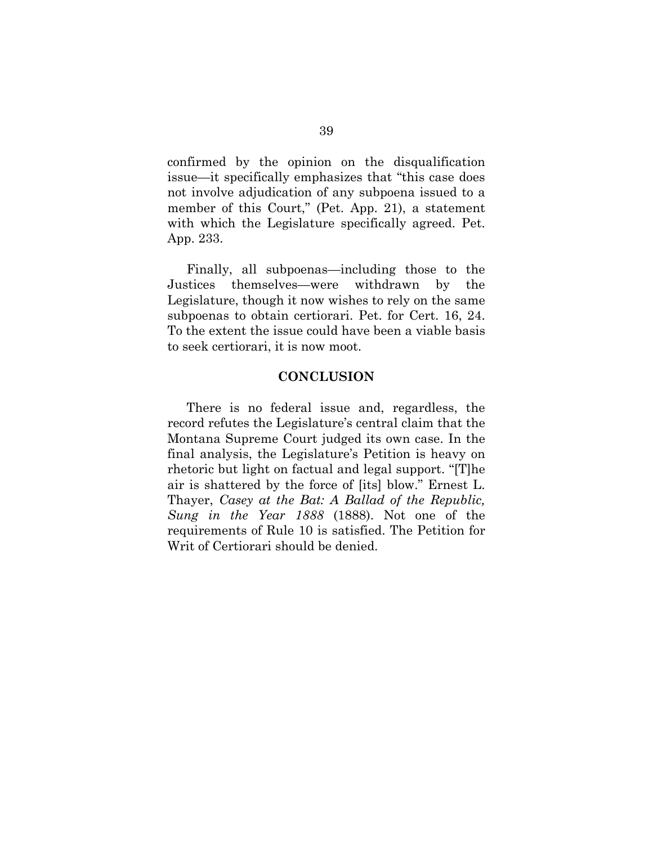confirmed by the opinion on the disqualification issue—it specifically emphasizes that "this case does not involve adjudication of any subpoena issued to a member of this Court," (Pet. App. 21), a statement with which the Legislature specifically agreed. Pet. App. 233.

Finally, all subpoenas—including those to the Justices themselves—were withdrawn by the Legislature, though it now wishes to rely on the same subpoenas to obtain certiorari. Pet. for Cert. 16, 24. To the extent the issue could have been a viable basis to seek certiorari, it is now moot.

#### **CONCLUSION**

There is no federal issue and, regardless, the record refutes the Legislature's central claim that the Montana Supreme Court judged its own case. In the final analysis, the Legislature's Petition is heavy on rhetoric but light on factual and legal support. "[T]he air is shattered by the force of [its] blow." Ernest L. Thayer, *Casey at the Bat: A Ballad of the Republic, Sung in the Year 1888* (1888). Not one of the requirements of Rule 10 is satisfied. The Petition for Writ of Certiorari should be denied.